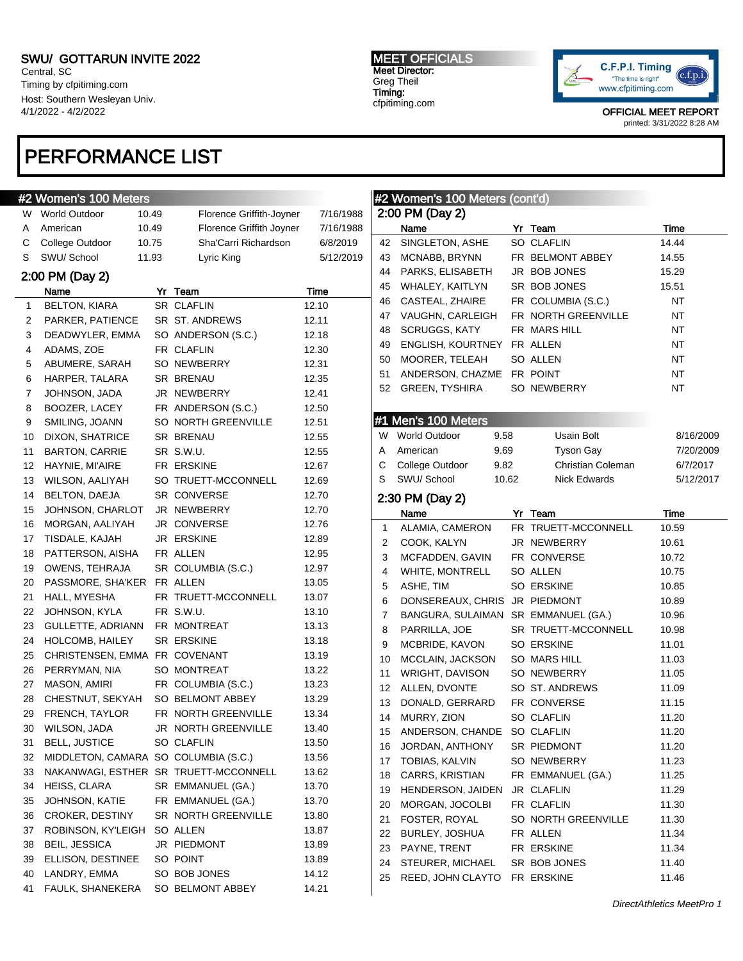Central, SC Timing by cfpitiming.com Host: Southern Wesleyan Univ. 4/1/2022 - 4/2/2022

## PERFORMANCE LIST

### #2 Women's 100 Meters

 $\overline{\phantom{a}}$ 

| W                | <b>World Outdoor</b>                 | 10.49 | Florence Griffith-Joyner              | 7/16/1988 |
|------------------|--------------------------------------|-------|---------------------------------------|-----------|
| Α                | American                             | 10.49 | Florence Griffith Joyner              | 7/16/1988 |
| С                | College Outdoor                      | 10.75 | Sha'Carri Richardson                  | 6/8/2019  |
| S                | SWU/ School                          | 11.93 | Lyric King                            | 5/12/2019 |
|                  | 2:00 PM (Day 2)                      |       |                                       |           |
|                  | Name                                 |       | Yr Team                               | Time      |
| 1                | <b>BELTON, KIARA</b>                 |       | SR CLAFLIN                            | 12.10     |
| 2                | PARKER, PATIENCE                     |       | SR ST. ANDREWS                        | 12.11     |
| 3                | DEADWYLER, EMMA                      |       | SO ANDERSON (S.C.)                    | 12.18     |
| 4                | ADAMS, ZOE                           |       | FR CLAFLIN                            | 12.30     |
| 5                | ABUMERE, SARAH                       |       | SO NEWBERRY                           | 12.31     |
| 6                | HARPER, TALARA                       |       | SR BRENAU                             | 12.35     |
| 7                | JOHNSON, JADA                        |       | JR NEWBERRY                           | 12.41     |
| 8                | BOOZER, LACEY                        |       | FR ANDERSON (S.C.)                    | 12.50     |
| 9                | SMILING, JOANN                       |       | SO NORTH GREENVILLE                   | 12.51     |
| 10               | DIXON, SHATRICE                      |       | SR BRENAU                             | 12.55     |
| 11               | <b>BARTON, CARRIE</b>                |       | SR S.W.U.                             | 12.55     |
| 12               | HAYNIE, MI'AIRE                      |       | FR ERSKINE                            | 12.67     |
| 13               | WILSON, AALIYAH                      |       | SO TRUETT-MCCONNELL                   | 12.69     |
| 14               | BELTON, DAEJA                        |       | SR CONVERSE                           | 12.70     |
| 15 <sub>15</sub> | JOHNSON, CHARLOT                     |       | JR NEWBERRY                           | 12.70     |
| 16               | MORGAN, AALIYAH                      |       | JR CONVERSE                           | 12.76     |
| 17               | TISDALE, KAJAH                       |       | JR ERSKINE                            | 12.89     |
| 18               | PATTERSON, AISHA                     |       | FR ALLEN                              | 12.95     |
| 19               | OWENS, TEHRAJA                       |       | SR COLUMBIA (S.C.)                    | 12.97     |
| 20               | PASSMORE, SHA'KER                    |       | FR ALLEN                              | 13.05     |
| 21               | HALL, MYESHA                         |       | FR TRUETT-MCCONNELL                   | 13.07     |
| 22               | JOHNSON, KYLA                        |       | FR S.W.U.                             | 13.10     |
| 23               | GULLETTE, ADRIANN                    |       | FR MONTREAT                           | 13.13     |
| 24               | <b>HOLCOMB, HAILEY</b>               |       | <b>SR ERSKINE</b>                     | 13.18     |
| 25               | CHRISTENSEN, EMMA FR COVENANT        |       |                                       | 13.19     |
| 26               | PERRYMAN, NIA                        |       | SO MONTREAT                           | 13.22     |
| 27               | <b>MASON, AMIRI</b>                  |       | FR COLUMBIA (S.C.)                    | 13.23     |
| 28               | CHESTNUT, SEKYAH                     |       | SO BELMONT ABBEY                      | 13.29     |
| 29               | FRENCH, TAYLOR                       |       | FR NORTH GREENVILLE                   | 13.34     |
| 30               | WILSON, JADA                         |       | JR NORTH GREENVILLE                   | 13.40     |
| 31               | <b>BELL, JUSTICE</b>                 |       | SO CLAFLIN                            | 13.50     |
| 32               | MIDDLETON, CAMARA SO COLUMBIA (S.C.) |       |                                       | 13.56     |
| 33               |                                      |       | NAKANWAGI, ESTHER SR TRUETT-MCCONNELL | 13.62     |
| 34               | HEISS, CLARA                         |       | SR EMMANUEL (GA.)                     | 13.70     |
| 35               | JOHNSON, KATIE                       |       | FR EMMANUEL (GA.)                     | 13.70     |
| 36               | CROKER, DESTINY                      |       | SR NORTH GREENVILLE                   | 13.80     |
| 37               | ROBINSON, KY'LEIGH                   |       | SO ALLEN                              | 13.87     |
| 38               | BEIL, JESSICA                        |       | JR PIEDMONT                           | 13.89     |
| 39               | ELLISON, DESTINEE                    |       | SO POINT                              | 13.89     |
| 40               | LANDRY, EMMA                         |       | SO BOB JONES                          | 14.12     |
| 41               | FAULK, SHANEKERA                     |       | SO BELMONT ABBEY                      | 14.21     |

MEET OFFICIALS Meet Director: Greg Theil Timing: cfpitiming.com



OFFICIAL MEET REPORT printed: 3/31/2022 8:28 AM

|    | #2 Women's 100 Meters (cont'd)      |       |                     |           |
|----|-------------------------------------|-------|---------------------|-----------|
|    | 2:00 PM (Day 2)                     |       |                     |           |
|    | Name                                |       | Yr Team             | Time      |
| 42 | SINGLETON, ASHE                     |       | <b>SO CLAFLIN</b>   | 14.44     |
| 43 | MCNABB, BRYNN                       |       | FR BELMONT ABBEY    | 14.55     |
| 44 | PARKS, ELISABETH                    |       | JR BOB JONES        | 15.29     |
| 45 | WHALEY, KAITLYN                     |       | SR BOB JONES        | 15.51     |
| 46 | CASTEAL, ZHAIRE                     |       | FR COLUMBIA (S.C.)  | NT        |
| 47 | VAUGHN, CARLEIGH                    |       | FR NORTH GREENVILLE | NΤ        |
| 48 | SCRUGGS, KATY                       |       | FR MARS HILL        | NΤ        |
| 49 | ENGLISH, KOURTNEY FR ALLEN          |       |                     | NΤ        |
| 50 | MOORER, TELEAH                      |       | SO ALLEN            | ΝT        |
| 51 | ANDERSON, CHAZME                    |       | FR POINT            | ΝT        |
| 52 | <b>GREEN, TYSHIRA</b>               |       | SO NEWBERRY         | ΝT        |
|    |                                     |       |                     |           |
|    | #1 Men's 100 Meters                 |       |                     |           |
|    | W World Outdoor                     | 9.58  | Usain Bolt          | 8/16/2009 |
| A  | American                            | 9.69  | Tyson Gay           | 7/20/2009 |
| C. | College Outdoor                     | 9.82  | Christian Coleman   | 6/7/2017  |
| S  | SWU/ School                         | 10.62 | <b>Nick Edwards</b> | 5/12/2017 |
|    |                                     |       |                     |           |
|    | 2:30 PM (Day 2)                     |       |                     |           |
|    | Name                                |       | Yr Team             | Time      |
| 1  | ALAMIA, CAMERON                     |       | FR TRUETT-MCCONNELL | 10.59     |
| 2  | COOK, KALYN                         |       | JR NEWBERRY         | 10.61     |
| 3  | MCFADDEN, GAVIN                     |       | FR CONVERSE         | 10.72     |
| 4  | WHITE, MONTRELL                     |       | SO ALLEN            | 10.75     |
| 5  | ASHE, TIM                           |       | <b>SO ERSKINE</b>   | 10.85     |
| 6  | DONSEREAUX, CHRIS JR PIEDMONT       |       |                     | 10.89     |
| 7  | BANGURA, SULAIMAN SR EMMANUEL (GA.) |       |                     | 10.96     |
| 8  | PARRILLA, JOE                       |       | SR TRUETT-MCCONNELL | 10.98     |
| 9  | MCBRIDE, KAVON                      |       | <b>SO ERSKINE</b>   | 11.01     |
| 10 | MCCLAIN, JACKSON                    |       | SO MARS HILL        | 11.03     |
| 11 | WRIGHT, DAVISON                     |       | SO NEWBERRY         | 11.05     |
| 12 | ALLEN, DVONTE                       |       | SO ST. ANDREWS      | 11.09     |
| 13 | DONALD, GERRARD                     |       | FR CONVERSE         | 11.15     |
| 14 | MURRY, ZION                         |       | <b>SO CLAFLIN</b>   | 11.20     |
| 15 | ANDERSON, CHANDE                    |       | SO CLAFLIN          | 11.20     |
| 16 | JORDAN, ANTHONY                     |       | SR PIEDMONT         | 11.20     |
| 17 | TOBIAS, KALVIN                      |       | SO NEWBERRY         | 11.23     |
| 18 | CARRS, KRISTIAN                     |       | FR EMMANUEL (GA.)   | 11.25     |
| 19 | HENDERSON, JAIDEN                   |       | JR CLAFLIN          | 11.29     |
| 20 | MORGAN, JOCOLBI                     |       | FR CLAFLIN          | 11.30     |
| 21 | FOSTER, ROYAL                       |       | SO NORTH GREENVILLE | 11.30     |
| 22 | BURLEY, JOSHUA                      |       | FR ALLEN            | 11.34     |
| 23 | PAYNE, TRENT                        |       | FR ERSKINE          | 11.34     |
| 24 | STEURER, MICHAEL                    |       | SR BOB JONES        | 11.40     |

25 REED, JOHN CLAYTO FR ERSKINE 11.46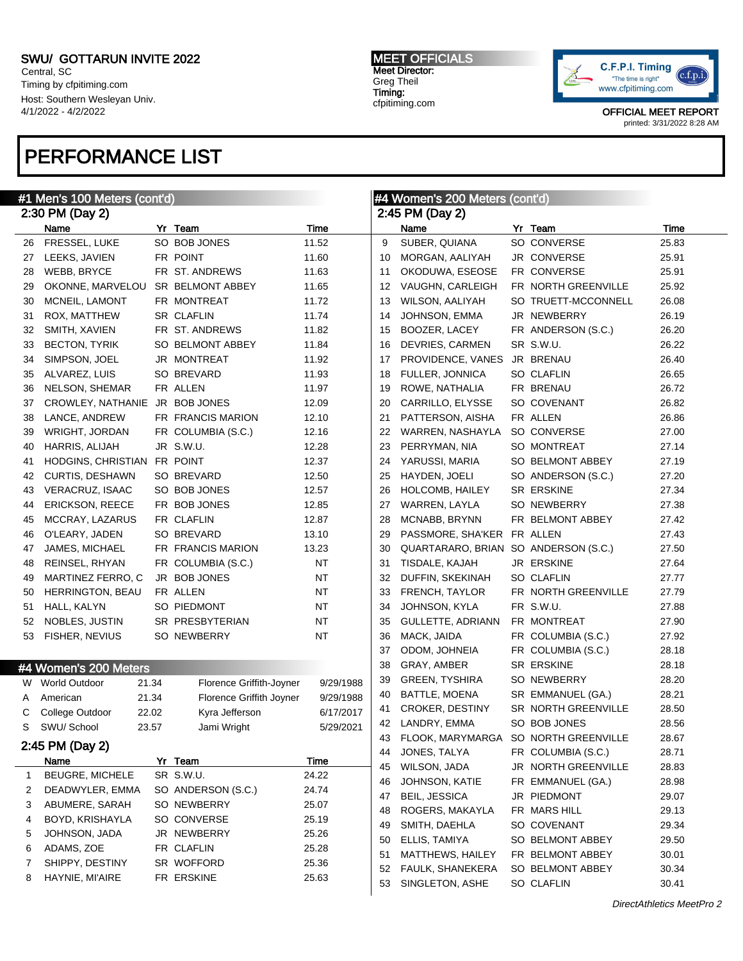Central, SC Timing by cfpitiming.com Host: Southern Wesleyan Univ. 4/1/2022 - 4/2/2022

## PERFORMANCE LIST

#### #1 Men's 100 Meters (cont'd) 2:30 PM (Day 2) Name Yr Team Time 26 FRESSEL, LUKE SO BOB JONES 11.52 27 LEEKS, JAVIEN FR POINT 11.60 28 WEBB, BRYCE FR ST. ANDREWS 11.63 29 OKONNE, MARVELOU SR BELMONT ABBEY 11.65 30 MCNEIL, LAMONT FR MONTREAT 11.72 31 ROX, MATTHEW SR CLAFLIN 11.74 32 SMITH, XAVIEN FR ST. ANDREWS 11.82 33 BECTON, TYRIK SO BELMONT ABBEY 11.84 34 SIMPSON, JOEL JR MONTREAT 11.92 35 ALVAREZ, LUIS SO BREVARD 11.93 36 NELSON, SHEMAR FR ALLEN 11.97 37 CROWLEY, NATHANIE JR BOB JONES 12.09 38 LANCE, ANDREW FR FRANCIS MARION 12.10 39 WRIGHT, JORDAN FR COLUMBIA (S.C.) 12.16 40 HARRIS, ALIJAH JR S.W.U. 12.28 41 HODGINS, CHRISTIAN FR POINT 12.37 42 CURTIS, DESHAWN SO BREVARD 12.50 43 VERACRUZ, ISAAC SO BOB JONES 12.57 44 ERICKSON, REECE FR BOB JONES 12.85 45 MCCRAY, LAZARUS FR CLAFLIN 12.87 46 O'LEARY, JADEN SO BREVARD 13.10 47 JAMES, MICHAEL FR FRANCIS MARION 13.23 48 REINSEL, RHYAN FR COLUMBIA (S.C.) NT 49 MARTINEZ FERRO, C JR BOB JONES NT 50 HERRINGTON, BEAU FR ALLEN NT 51 HALL, KALYN SO PIEDMONT NT 52 NOBLES, JUSTIN SR PRESBYTERIAN NT 53 FISHER, NEVIUS SO NEWBERRY NT #4 Women's 200 Meters W World Outdoor 21.34 Florence Griffith-Joyner 9/29/1988 A American 21.34 Florence Griffith Joyner 9/29/1988 C College Outdoor 22.02 Kyra Jefferson 6/17/2017 S SWU/ School 23.57 Jami Wright 5/29/2021 2:45 PM (Day 2) Name Yr Team Time 1 BEUGRE, MICHELE SR S.W.U. 24.22 2 DEADWYLER, EMMA SO ANDERSON (S.C.) 24.74 3 ABUMERE, SARAH SO NEWBERRY 25.07 4 BOYD, KRISHAYLA SO CONVERSE 25.19 5 JOHNSON, JADA JR NEWBERRY 25.26 6 ADAMS, ZOE FR CLAFLIN 25.28 7 SHIPPY, DESTINY SR WOFFORD 25.36 8 HAYNIE, MI'AIRE FR ERSKINE 25.63 #4 Women's 200 Meters (cont'd) 2:45 PM (Day 2) Name **Yr Team Yr Team** Time 9 SUBER, QUIANA SO CONVERSE 25.83 10 MORGAN, AALIYAH JR CONVERSE 25.91 11 OKODUWA, ESEOSE FR CONVERSE 25.91 12 VAUGHN, CARLEIGH FR NORTH GREENVILLE 25.92 13 WILSON, AALIYAH SO TRUETT-MCCONNELL 26.08 14 JOHNSON, EMMA JR NEWBERRY 26.19 15 BOOZER, LACEY FR ANDERSON (S.C.) 26.20 16 DEVRIES, CARMEN SR S.W.U. 26.22 17 PROVIDENCE, VANES JR BRENAU 26.40 18 FULLER, JONNICA SO CLAFLIN 26.65 19 ROWE, NATHALIA FR BRENAU 26.72 20 CARRILLO, ELYSSE SO COVENANT 26.82 21 PATTERSON, AISHA FR ALLEN 26.86 22 WARREN, NASHAYLA SO CONVERSE 27.00 23 PERRYMAN, NIA SO MONTREAT 27.14 24 YARUSSI, MARIA SO BELMONT ABBEY 27.19 25 HAYDEN, JOELI SO ANDERSON (S.C.) 27.20 26 HOLCOMB, HAILEY SR ERSKINE 27.34 27 WARREN, LAYLA SO NEWBERRY 27.38 28 MCNABB, BRYNN FR BELMONT ABBEY 27.42 29 PASSMORE, SHA'KER FR ALLEN 27.43 30 QUARTARARO, BRIAN SO ANDERSON (S.C.) 27.50 31 TISDALE, KAJAH JR ERSKINE 27.64 32 DUFFIN, SKEKINAH SO CLAFLIN 27.77 33 FRENCH, TAYLOR FR NORTH GREENVILLE 27.79 34 JOHNSON, KYLA FR S.W.U. 27.88 35 GULLETTE, ADRIANN FR MONTREAT 27.90 36 MACK, JAIDA FR COLUMBIA (S.C.) 27.92 37 ODOM, JOHNEIA FR COLUMBIA (S.C.) 28.18 38 GRAY, AMBER SR ERSKINE 28.18 39 GREEN, TYSHIRA SO NEWBERRY 28.20 40 BATTLE, MOENA SR EMMANUEL (GA.) 28.21 41 CROKER, DESTINY SR NORTH GREENVILLE 28.50 42 LANDRY, EMMA SO BOB JONES 28.56 43 FLOOK, MARYMARGA SO NORTH GREENVILLE 28.67 44 JONES, TALYA FR COLUMBIA (S.C.) 28.71 45 WILSON, JADA JR NORTH GREENVILLE 28.83 46 JOHNSON, KATIE FR EMMANUEL (GA.) 28.98 47 BEIL, JESSICA JR PIEDMONT 29.07 48 ROGERS, MAKAYLA FR MARS HILL 29.13 49 SMITH, DAEHLA SO COVENANT 29.34 50 ELLIS, TAMIYA SO BELMONT ABBEY 29.50 51 MATTHEWS, HAILEY FR BELMONT ABBEY 30.01 52 FAULK, SHANEKERA SO BELMONT ABBEY 30.34 53 SINGLETON, ASHE SO CLAFLIN 30.41

MEET OFFICIALS Meet Director: Greg Theil Timing: cfpitiming.com

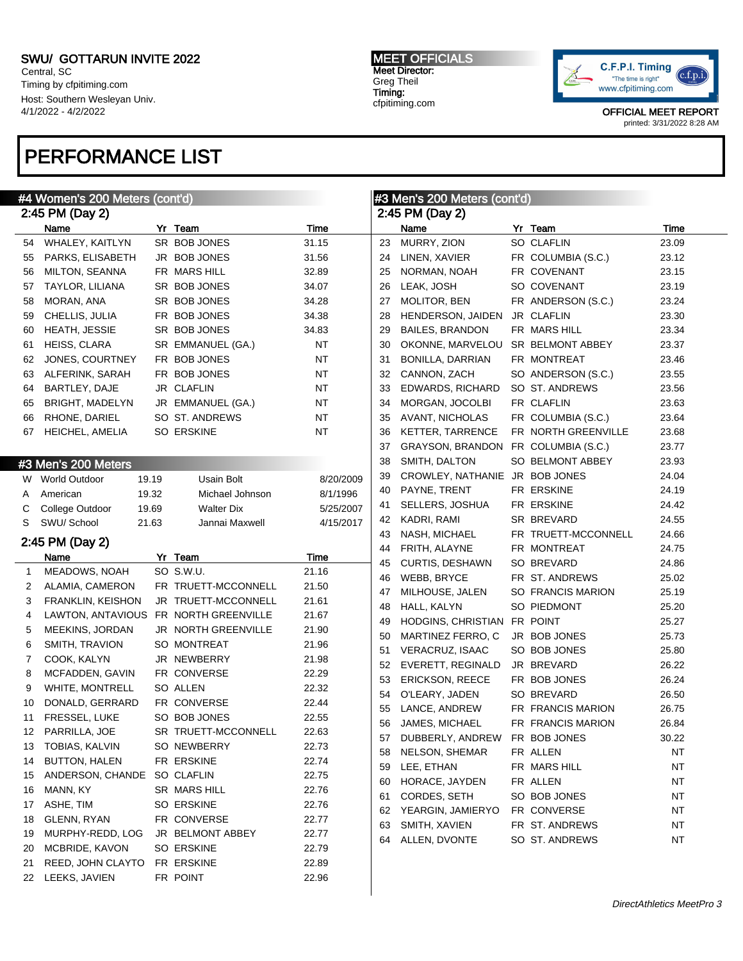Central, SC Timing by cfpitiming.com Host: Southern Wesleyan Univ. 4/1/2022 - 4/2/2022

# PERFORMANCE LIST

#### MEET OFFICIALS Meet Director: Greg Theil Timing: cfpitiming.com



|        | #4 Women's 200 Meters (cont'd)        |       |                     |             | #3 Men's 200 Meters (cont'd) |                                     |  |                     |       |
|--------|---------------------------------------|-------|---------------------|-------------|------------------------------|-------------------------------------|--|---------------------|-------|
|        | 2:45 PM (Day 2)                       |       |                     |             | 2:45 PM (Day 2)              |                                     |  |                     |       |
|        | Name                                  |       | Yr Team             | <b>Time</b> |                              | Name                                |  | Yr Team             | Time  |
| 54     | WHALEY, KAITLYN                       |       | SR BOB JONES        | 31.15       | 23                           | MURRY, ZION                         |  | SO CLAFLIN          | 23.09 |
|        | 55 PARKS, ELISABETH                   |       | JR BOB JONES        | 31.56       | 24                           | LINEN, XAVIER                       |  | FR COLUMBIA (S.C.)  | 23.12 |
| 56     | <b>MILTON, SEANNA</b>                 |       | FR MARS HILL        | 32.89       | 25                           | NORMAN, NOAH                        |  | FR COVENANT         | 23.15 |
| 57     | <b>TAYLOR, LILIANA</b>                |       | SR BOB JONES        | 34.07       | 26                           | LEAK, JOSH                          |  | SO COVENANT         | 23.19 |
| 58     | MORAN, ANA                            |       | SR BOB JONES        | 34.28       | 27                           | MOLITOR, BEN                        |  | FR ANDERSON (S.C.)  | 23.24 |
| 59     | CHELLIS, JULIA                        |       | FR BOB JONES        | 34.38       | 28                           | HENDERSON, JAIDEN                   |  | JR CLAFLIN          | 23.30 |
| 60     | HEATH, JESSIE                         |       | SR BOB JONES        | 34.83       | 29                           | <b>BAILES, BRANDON</b>              |  | FR MARS HILL        | 23.34 |
| 61     | HEISS, CLARA                          |       | SR EMMANUEL (GA.)   | NT          | 30                           | OKONNE, MARVELOU                    |  | SR BELMONT ABBEY    | 23.37 |
| 62     | JONES, COURTNEY                       |       | FR BOB JONES        | NT          | 31                           | BONILLA, DARRIAN                    |  | FR MONTREAT         | 23.46 |
| 63     | ALFERINK, SARAH                       |       | FR BOB JONES        | NT          | 32                           | CANNON, ZACH                        |  | SO ANDERSON (S.C.)  | 23.55 |
| 64     | BARTLEY, DAJE                         |       | JR CLAFLIN          | NT          | 33                           | EDWARDS, RICHARD                    |  | SO ST. ANDREWS      | 23.56 |
| 65     | <b>BRIGHT, MADELYN</b>                |       | JR EMMANUEL (GA.)   | NT          | 34                           | MORGAN, JOCOLBI                     |  | FR CLAFLIN          | 23.63 |
| 66     | RHONE, DARIEL                         |       | SO ST. ANDREWS      | NT          | 35                           | AVANT, NICHOLAS                     |  | FR COLUMBIA (S.C.)  | 23.64 |
| 67     | HEICHEL, AMELIA                       |       | SO ERSKINE          | <b>NT</b>   | 36                           | <b>KETTER, TARRENCE</b>             |  | FR NORTH GREENVILLE | 23.68 |
|        |                                       |       |                     |             | 37                           | GRAYSON, BRANDON FR COLUMBIA (S.C.) |  |                     | 23.77 |
|        | #3 Men's 200 Meters                   |       |                     |             | 38                           | SMITH, DALTON                       |  | SO BELMONT ABBEY    | 23.93 |
|        | W World Outdoor                       | 19.19 | Usain Bolt          | 8/20/2009   | 39                           | CROWLEY, NATHANIE JR BOB JONES      |  |                     | 24.04 |
|        | American                              | 19.32 | Michael Johnson     | 8/1/1996    | 40                           | PAYNE, TRENT                        |  | FR ERSKINE          | 24.19 |
| A<br>С | College Outdoor                       | 19.69 | <b>Walter Dix</b>   | 5/25/2007   | 41                           | SELLERS, JOSHUA                     |  | FR ERSKINE          | 24.42 |
| S      | SWU/ School                           | 21.63 | Jannai Maxwell      | 4/15/2017   | 42                           | KADRI, RAMI                         |  | SR BREVARD          | 24.55 |
|        |                                       |       |                     |             | 43                           | NASH, MICHAEL                       |  | FR TRUETT-MCCONNELL | 24.66 |
|        | 2:45 PM (Day 2)                       |       |                     |             | 44                           | FRITH, ALAYNE                       |  | FR MONTREAT         | 24.75 |
|        | Name                                  |       | Yr Team             | Time        | 45                           | <b>CURTIS, DESHAWN</b>              |  | SO BREVARD          | 24.86 |
| 1      | MEADOWS, NOAH                         |       | SO S.W.U.           | 21.16       | 46                           | WEBB, BRYCE                         |  | FR ST. ANDREWS      | 25.02 |
| 2      | ALAMIA, CAMERON                       |       | FR TRUETT-MCCONNELL | 21.50       | 47                           | MILHOUSE, JALEN                     |  | SO FRANCIS MARION   | 25.19 |
| 3      | <b>FRANKLIN, KEISHON</b>              |       | JR TRUETT-MCCONNELL | 21.61       | 48                           | HALL, KALYN                         |  | SO PIEDMONT         | 25.20 |
| 4      | LAWTON, ANTAVIOUS FR NORTH GREENVILLE |       |                     | 21.67       | 49                           | HODGINS, CHRISTIAN FR POINT         |  |                     | 25.27 |
| 5      | MEEKINS, JORDAN                       |       | JR NORTH GREENVILLE | 21.90       | 50                           | MARTINEZ FERRO, C                   |  | JR BOB JONES        | 25.73 |
| 6      | SMITH, TRAVION                        |       | SO MONTREAT         | 21.96       | 51                           | VERACRUZ, ISAAC                     |  | SO BOB JONES        | 25.80 |
| 7      | COOK, KALYN                           |       | JR NEWBERRY         | 21.98       | 52                           | EVERETT, REGINALD                   |  | JR BREVARD          | 26.22 |
| 8      | MCFADDEN, GAVIN                       |       | FR CONVERSE         | 22.29       | 53                           | <b>ERICKSON, REECE</b>              |  | FR BOB JONES        | 26.24 |
| 9      | WHITE, MONTRELL                       |       | SO ALLEN            | 22.32       | 54                           | O'LEARY, JADEN                      |  | SO BREVARD          | 26.50 |
| 10     | DONALD, GERRARD                       |       | FR CONVERSE         | 22.44       | 55                           | LANCE, ANDREW                       |  | FR FRANCIS MARION   | 26.75 |
| 11     | FRESSEL, LUKE                         |       | SO BOB JONES        | 22.55       | 56                           | JAMES, MICHAEL                      |  | FR FRANCIS MARION   | 26.84 |
|        | 12 PARRILLA, JOE                      |       | SR TRUETT-MCCONNELL | 22.63       |                              | 57 DUBBERLY, ANDREW FR BOB JONES    |  |                     | 30.22 |
|        | 13 TOBIAS, KALVIN                     |       | SO NEWBERRY         | 22.73       | 58                           | NELSON, SHEMAR                      |  | FR ALLEN            | NT    |
| 14     | <b>BUTTON, HALEN</b>                  |       | FR ERSKINE          | 22.74       | 59                           | LEE, ETHAN                          |  | FR MARS HILL        | NT    |
| 15     | ANDERSON, CHANDE SO CLAFLIN           |       |                     | 22.75       | 60                           | HORACE, JAYDEN                      |  | FR ALLEN            | NT    |
| 16     | MANN, KY                              |       | SR MARS HILL        | 22.76       | 61                           | CORDES, SETH                        |  | SO BOB JONES        | NT    |
| 17     | ASHE, TIM                             |       | SO ERSKINE          | 22.76       | 62                           | YEARGIN, JAMIERYO                   |  | FR CONVERSE         | NT    |
| 18     | GLENN, RYAN                           |       | FR CONVERSE         | 22.77       | 63                           | SMITH, XAVIEN                       |  | FR ST. ANDREWS      | NT    |
| 19     | MURPHY-REDD, LOG                      |       | JR BELMONT ABBEY    | 22.77       | 64                           | ALLEN, DVONTE                       |  | SO ST. ANDREWS      | NT    |
| 20     | MCBRIDE, KAVON                        |       | SO ERSKINE          | 22.79       |                              |                                     |  |                     |       |
| 21     | REED, JOHN CLAYTO                     |       | FR ERSKINE          | 22.89       |                              |                                     |  |                     |       |
|        | 22 LEEKS, JAVIEN                      |       | FR POINT            | 22.96       |                              |                                     |  |                     |       |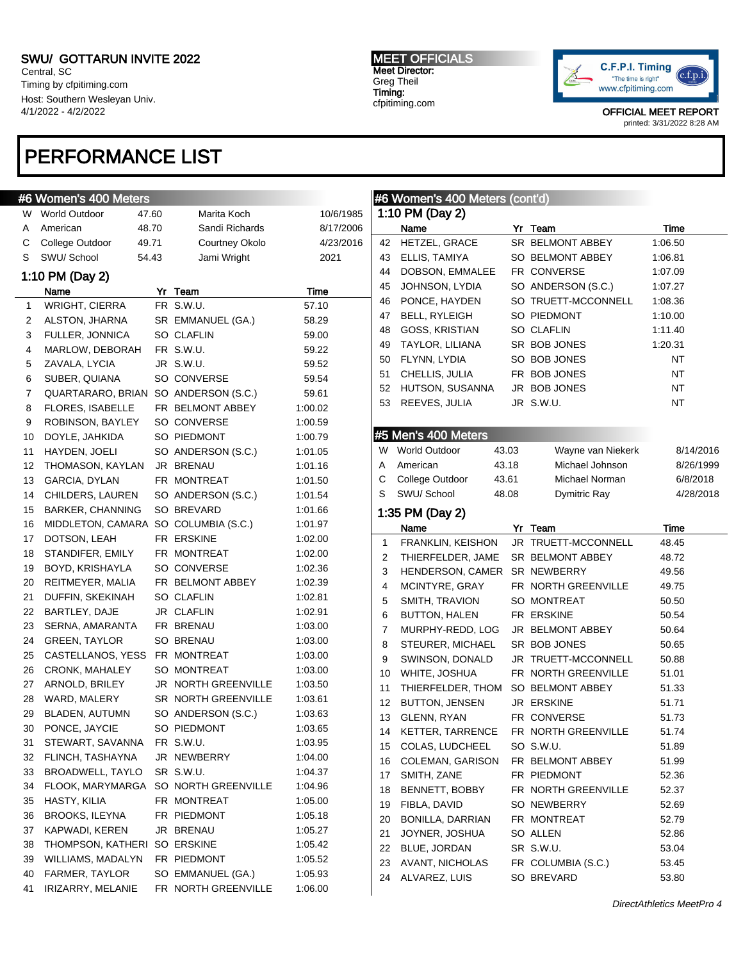Central, SC Timing by cfpitiming.com Host: Southern Wesleyan Univ. 4/1/2022 - 4/2/2022

## PERFORMANCE LIST

### #6 Women's 400 Meters

| W              | World Outdoor                        | 47.60 | Marita Koch         | 10/6/1985 |
|----------------|--------------------------------------|-------|---------------------|-----------|
| Α              | American                             | 48.70 | Sandi Richards      | 8/17/2006 |
| С              | College Outdoor                      | 49.71 | Courtney Okolo      | 4/23/2016 |
| S              | SWU/ School                          | 54.43 | Jami Wright         | 2021      |
|                | 1:10 PM (Day 2)                      |       |                     |           |
|                | Name                                 |       | Yr Team             | Time      |
| 1              | <b>WRIGHT, CIERRA</b>                |       | FR S.W.U.           | 57.10     |
| 2              | ALSTON, JHARNA                       |       | SR EMMANUEL (GA.)   | 58.29     |
| 3              | FULLER, JONNICA                      |       | SO CLAFLIN          | 59.00     |
| 4              | MARLOW, DEBORAH                      |       | FR S.W.U.           | 59.22     |
| 5              | ZAVALA, LYCIA                        |       | JR S.W.U.           | 59.52     |
| 6              | SUBER, QUIANA                        |       | SO CONVERSE         | 59.54     |
| $\overline{7}$ | QUARTARARO, BRIAN                    |       | SO ANDERSON (S.C.)  | 59.61     |
| 8              | FLORES, ISABELLE                     |       | FR BELMONT ABBEY    | 1:00.02   |
| 9              | ROBINSON, BAYLEY                     |       | SO CONVERSE         | 1:00.59   |
| 10             | DOYLE, JAHKIDA                       |       | SO PIEDMONT         | 1:00.79   |
| 11             | HAYDEN, JOELI                        |       | SO ANDERSON (S.C.)  | 1:01.05   |
| 12             | THOMASON, KAYLAN                     |       | JR BRENAU           | 1:01.16   |
| 13             | GARCIA, DYLAN                        |       | FR MONTREAT         | 1:01.50   |
| 14             | CHILDERS, LAUREN                     |       | SO ANDERSON (S.C.)  | 1:01.54   |
| 15             | <b>BARKER, CHANNING</b>              |       | SO BREVARD          | 1:01.66   |
| 16             | MIDDLETON, CAMARA SO COLUMBIA (S.C.) |       |                     | 1:01.97   |
| 17             | DOTSON, LEAH                         |       | FR ERSKINE          | 1:02.00   |
| 18             | STANDIFER, EMILY                     |       | FR MONTREAT         | 1:02.00   |
| 19             | BOYD, KRISHAYLA                      |       | SO CONVERSE         | 1:02.36   |
| 20             | REITMEYER, MALIA                     |       | FR BELMONT ABBEY    | 1:02.39   |
| 21             | DUFFIN, SKEKINAH                     |       | SO CLAFLIN          | 1:02.81   |
| 22             | BARTLEY, DAJE                        |       | JR CLAFLIN          | 1:02.91   |
| 23             | SERNA, AMARANTA                      |       | FR BRENAU           | 1:03.00   |
| 24             | <b>GREEN, TAYLOR</b>                 |       | SO BRENAU           | 1:03.00   |
| 25             | CASTELLANOS, YESS                    |       | FR MONTREAT         | 1:03.00   |
| 26             | CRONK, MAHALEY                       |       | SO MONTREAT         | 1:03.00   |
| 27             | ARNOLD, BRILEY                       |       | JR NORTH GREENVILLE | 1:03.50   |
| 28             | WARD, MALERY                         |       | SR NORTH GREENVILLE | 1:03.61   |
| 29             | BLADEN, AUTUMN                       |       | SO ANDERSON (S.C.)  | 1:03.63   |
| 30             | PONCE, JAYCIE                        |       | SO PIEDMONT         | 1:03.65   |
| 31             | STEWART, SAVANNA                     |       | FR S.W.U.           | 1:03.95   |
| 32             | FLINCH, TASHAYNA                     |       | JR NEWBERRY         | 1:04.00   |
| 33             | <b>BROADWELL, TAYLO</b>              |       | SR S.W.U.           | 1:04.37   |
| 34             | FLOOK, MARYMARGA                     |       | SO NORTH GREENVILLE | 1:04.96   |
| 35             | HASTY, KILIA                         |       | FR MONTREAT         | 1:05.00   |
| 36             | <b>BROOKS, ILEYNA</b>                |       | FR PIEDMONT         | 1:05.18   |
| 37             | KAPWADI, KEREN                       |       | JR BRENAU           | 1:05.27   |
| 38             | THOMPSON, KATHERI                    |       | SO ERSKINE          | 1:05.42   |
| 39             | WILLIAMS, MADALYN                    |       | FR PIEDMONT         | 1:05.52   |
| 40             | FARMER, TAYLOR                       |       | SO EMMANUEL (GA.)   | 1:05.93   |
| 41             | IRIZARRY, MELANIE                    |       | FR NORTH GREENVILLE | 1:06.00   |

MEET OFFICIALS Meet Director: Greg Theil Timing: cfpitiming.com



OFFICIAL MEET REPORT printed: 3/31/2022 8:28 AM

|          | #6 Women's 400 Meters (cont'd) |       |                                           |                    |
|----------|--------------------------------|-------|-------------------------------------------|--------------------|
|          | 1:10 PM (Day 2)                |       |                                           |                    |
|          | Name<br>HETZEL, GRACE          |       | Yr Team                                   | Time               |
| 42<br>43 | ELLIS, TAMIYA                  |       | SR BELMONT ABBEY<br>SO BELMONT ABBEY      | 1:06.50            |
| 44       | DOBSON, EMMALEE                |       | FR CONVERSE                               | 1:06.81            |
| 45       | JOHNSON, LYDIA                 |       |                                           | 1:07.09            |
|          | PONCE, HAYDEN                  |       | SO ANDERSON (S.C.)<br>SO TRUETT-MCCONNELL | 1:07.27            |
| 46<br>47 | <b>BELL, RYLEIGH</b>           |       | SO PIEDMONT                               | 1:08.36<br>1:10.00 |
| 48       | <b>GOSS, KRISTIAN</b>          |       | <b>SO CLAFLIN</b>                         | 1:11.40            |
| 49       | TAYLOR, LILIANA                |       | SR BOB JONES                              |                    |
|          | FLYNN, LYDIA                   |       | SO BOB JONES                              | 1:20.31<br>NT      |
| 50       |                                |       | FR BOB JONES                              | NT                 |
| 51       | CHELLIS, JULIA                 |       |                                           |                    |
| 52       | HUTSON, SUSANNA                |       | JR BOB JONES                              | NT                 |
| 53       | REEVES, JULIA                  |       | JR S.W.U.                                 | ΝT                 |
|          |                                |       |                                           |                    |
|          | #5 Men's 400 Meters            |       |                                           |                    |
|          | W World Outdoor                | 43.03 | Wayne van Niekerk                         | 8/14/2016          |
| A        | American                       | 43.18 | Michael Johnson                           | 8/26/1999          |
| С        | College Outdoor                | 43.61 | Michael Norman                            | 6/8/2018           |
| S        | SWU/ School                    | 48.08 | Dymitric Ray                              | 4/28/2018          |
|          | 1:35 PM (Day 2)                |       |                                           |                    |
|          | Name                           |       | Yr Team                                   | Time               |
| 1        | FRANKLIN, KEISHON              |       | JR TRUETT-MCCONNELL                       | 48.45              |
| 2        | THIERFELDER, JAME              |       | SR BELMONT ABBEY                          | 48.72              |
| 3        | HENDERSON, CAMER SR NEWBERRY   |       |                                           | 49.56              |
| 4        | MCINTYRE, GRAY                 |       | FR NORTH GREENVILLE                       | 49.75              |
| 5        | SMITH, TRAVION                 |       | SO MONTREAT                               | 50.50              |
| 6        | BUTTON, HALEN                  |       | FR ERSKINE                                | 50.54              |
| 7        | MURPHY-REDD, LOG               |       | JR BELMONT ABBEY                          | 50.64              |
| 8        | STEURER, MICHAEL               |       | SR BOB JONES                              | 50.65              |
| 9        | SWINSON, DONALD                |       | JR TRUETT-MCCONNELL                       | 50.88              |
| 10       | WHITE, JOSHUA                  |       | FR NORTH GREENVILLE                       | 51.01              |
| 11       | THIERFELDER, THOM              |       | SO BELMONT ABBEY                          | 51.33              |
| 12       | <b>BUTTON, JENSEN</b>          |       | JR ERSKINE                                | 51.71              |
| 13       | <b>GLENN, RYAN</b>             |       | FR CONVERSE                               | 51.73              |
| 14       | <b>KETTER, TARRENCE</b>        |       | FR NORTH GREENVILLE                       | 51.74              |
| 15       | COLAS, LUDCHEEL                |       | SO S.W.U.                                 | 51.89              |
| 16       | COLEMAN, GARISON               |       | FR BELMONT ABBEY                          | 51.99              |
| 17       | SMITH, ZANE                    |       | FR PIEDMONT                               | 52.36              |
| 18       | BENNETT, BOBBY                 |       | FR NORTH GREENVILLE                       | 52.37              |
| 19       | FIBLA, DAVID                   |       | SO NEWBERRY                               | 52.69              |
| 20       | BONILLA, DARRIAN               |       | FR MONTREAT                               | 52.79              |
| 21       | JOYNER, JOSHUA                 |       | SO ALLEN                                  | 52.86              |
| 22       | BLUE, JORDAN                   |       | SR S.W.U.                                 | 53.04              |
| 23       | AVANT, NICHOLAS                |       | FR COLUMBIA (S.C.)                        | 53.45              |

24 ALVAREZ, LUIS SO BREVARD 53.80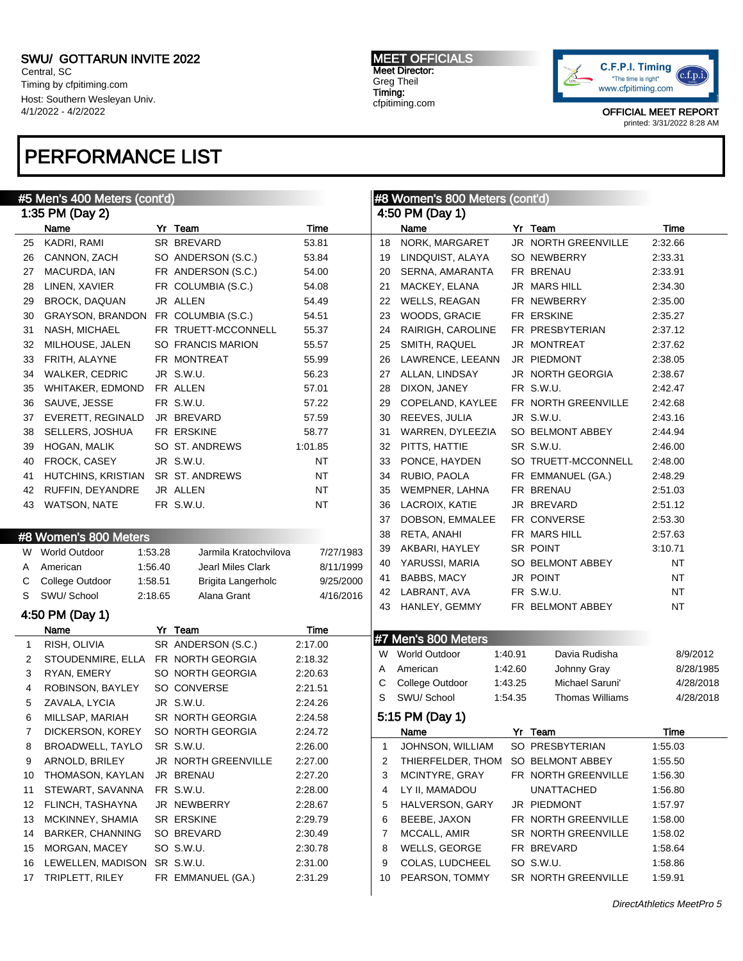Central, SC Timing by cfpitiming.com Host: Southern Wesleyan Univ. 4/1/2022 - 4/2/2022

### PERFORMANCE LIST

#### #5 Men's 400 Meters (cont'd) 1:35 PM (Day 2) Name Yr Team Time 25 KADRI, RAMI SR BREVARD 53.81 26 CANNON, ZACH SO ANDERSON (S.C.) 53.84 27 MACURDA, IAN FR ANDERSON (S.C.) 54.00 28 LINEN, XAVIER FR COLUMBIA (S.C.) 54.08 29 BROCK, DAQUAN JR ALLEN 54.49 30 GRAYSON, BRANDON FR COLUMBIA (S.C.) 54.51 31 NASH, MICHAEL FR TRUETT-MCCONNELL 55.37 32 MILHOUSE, JALEN SO FRANCIS MARION 55.57 33 FRITH, ALAYNE FR MONTREAT 55.99 34 WALKER, CEDRIC JR S.W.U. 56.23 35 WHITAKER, EDMOND FR ALLEN 57.01 36 SAUVE, JESSE FR S.W.U. 57.22 37 EVERETT, REGINALD JR BREVARD 57.59 38 SELLERS, JOSHUA FR ERSKINE 58.77 39 HOGAN, MALIK SO ST. ANDREWS 1:01.85 40 FROCK, CASEY JR S.W.U. NT 41 HUTCHINS, KRISTIAN SR ST. ANDREWS NT 42 RUFFIN, DEYANDRE JR ALLEN NT 43 WATSON, NATE FR S.W.U. NT #8 Women's 800 Meters W World Outdoor 1:53.28 Jarmila Kratochvilova 7/27/1983 A American 1:56.40 Jearl Miles Clark 8/11/1999 C College Outdoor 1:58.51 Brigita Langerholc 9/25/2000 S SWU/ School 2:18.65 Alana Grant 4/16/2016 4:50 PM (Day 1) Name Yr Team Time 1 RISH, OLIVIA SR ANDERSON (S.C.) 2:17.00 2 STOUDENMIRE, ELLA FR NORTH GEORGIA 2:18.32 3 RYAN, EMERY SO NORTH GEORGIA 2:20.63 4 ROBINSON, BAYLEY SO CONVERSE 2:21.51 5 ZAVALA, LYCIA JR S.W.U. 2:24.26 6 MILLSAP, MARIAH SR NORTH GEORGIA 2:24.58 7 DICKERSON, KOREY SO NORTH GEORGIA 2:24.72 8 BROADWELL, TAYLO SR S.W.U. 2:26.00 9 ARNOLD, BRILEY JR NORTH GREENVILLE 2:27.00 10 THOMASON, KAYLAN JR BRENAU 2:27.20 11 STEWART, SAVANNA FR S.W.U. 2:28.00 12 FLINCH, TASHAYNA JR NEWBERRY 2:28.67 13 MCKINNEY, SHAMIA SR ERSKINE 2:29.79 14 BARKER, CHANNING SO BREVARD 2:30.49 15 MORGAN, MACEY SO S.W.U. 2:30.78 16 LEWELLEN, MADISON SR S.W.U. 2:31.00 17 TRIPLETT, RILEY FR EMMANUEL (GA.) 2:31.29 #8 Women's 800 Meters (cont'd) 4:50 PM (Day 1) Name **Yr Team Time** 18 NORK, MARGARET JR NORTH GREENVILLE 2:32.66 19 LINDQUIST, ALAYA SO NEWBERRY 2:33.31 20 SERNA, AMARANTA FR BRENAU 2:33.91 21 MACKEY, ELANA JR MARS HILL 2:34.30 22 WELLS, REAGAN FR NEWBERRY 2:35.00 23 WOODS, GRACIE FR ERSKINE 2:35.27 24 RAIRIGH, CAROLINE FR PRESBYTERIAN 2:37.12 25 SMITH, RAQUEL JR MONTREAT 2:37.62 26 LAWRENCE, LEEANN JR PIEDMONT 2:38.05 27 ALLAN, LINDSAY JR NORTH GEORGIA 2:38.67 28 DIXON, JANEY FR S.W.U. 2:42.47 29 COPELAND, KAYLEE FR NORTH GREENVILLE 2:42.68 30 REEVES, JULIA JR S.W.U. 2:43.16 31 WARREN, DYLEEZIA SO BELMONT ABBEY 2:44.94 32 PITTS, HATTIE SR S.W.U. 2:46.00 33 PONCE, HAYDEN SO TRUETT-MCCONNELL 2:48.00 34 RUBIO, PAOLA FR EMMANUEL (GA.) 2:48.29 35 WEMPNER, LAHNA FR BRENAU 2:51.03 36 LACROIX, KATIE JR BREVARD 2:51.12 37 DOBSON, EMMALEE FR CONVERSE 2:53.30 38 RETA, ANAHI FR MARS HILL 2:57.63 39 AKBARI, HAYLEY SR POINT 3:10.71 40 YARUSSI, MARIA SO BELMONT ABBEY NT 41 BABBS, MACY JR POINT NT 42 LABRANT, AVA FR S.W.U. NT 43 HANLEY, GEMMY FR BELMONT ABBEY NT #7 Men's 800 Meters W World Outdoor 1:40.91 Davia Rudisha 8/9/2012 A American 1:42.60 Johnny Gray 8/28/1985 C College Outdoor 1:43.25 Michael Saruni' 4/28/2018 S SWU/ School 1:54.35 Thomas Williams 4/28/2018 5:15 PM (Day 1) Name Yr Team Time 1 JOHNSON, WILLIAM SO PRESBYTERIAN 1:55.03 2 THIERFELDER, THOM SO BELMONT ABBEY 1:55.50 3 MCINTYRE, GRAY FR NORTH GREENVILLE 1:56.30 4 LY II, MAMADOU UNATTACHED 1:56.80 5 HALVERSON, GARY JR PIEDMONT 1:57.97 6 BEEBE, JAXON FR NORTH GREENVILLE 1:58.00 7 MCCALL, AMIR
SR NORTH GREENVILLE
1:58.02 8 WELLS, GEORGE FR BREVARD 1:58.64 9 COLAS, LUDCHEEL SO S.W.U. 1:58.86 10 PEARSON, TOMMY SR NORTH GREENVILLE 1:59.91

MEET OFFICIALS Meet Director: Greg Theil Timing: cfpitiming.com



OFFICIAL MEET REPORT printed: 3/31/2022 8:28 AM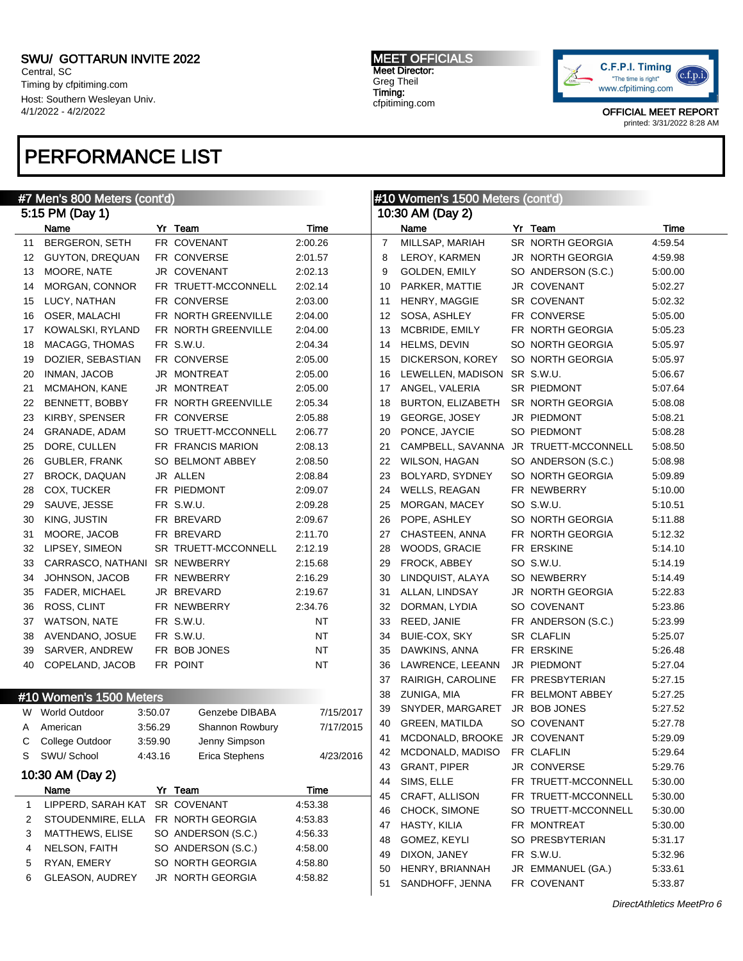Central, SC Timing by cfpitiming.com Host: Southern Wesleyan Univ. 4/1/2022 - 4/2/2022

### PERFORMANCE LIST

#### #7 Men's 800 Meters (cont'd) 5:15 PM (Day 1) Name Yr Team Time 11 BERGERON, SETH FR COVENANT 2:00.26 GUYTON, DREQUAN FR CONVERSE 2:01.57 13 MOORE, NATE JR COVENANT 2:02.13 MORGAN, CONNOR FR TRUETT-MCCONNELL 2:02.14 LUCY, NATHAN FR CONVERSE 2:03.00 OSER, MALACHI FR NORTH GREENVILLE 2:04.00 KOWALSKI, RYLAND FR NORTH GREENVILLE 2:04.00 MACAGG, THOMAS FR S.W.U. 2:04.34 DOZIER, SEBASTIAN FR CONVERSE 2:05.00 INMAN, JACOB JR MONTREAT 2:05.00 MCMAHON, KANE JR MONTREAT 2:05.00 BENNETT, BOBBY FR NORTH GREENVILLE 2:05.34 23 KIRBY, SPENSER FR CONVERSE 2:05.88 GRANADE, ADAM SO TRUETT-MCCONNELL 2:06.77 DORE, CULLEN FR FRANCIS MARION 2:08.13 GUBLER, FRANK SO BELMONT ABBEY 2:08.50 BROCK, DAQUAN JR ALLEN 2:08.84 28 COX, TUCKER FR PIEDMONT 2:09.07 SAUVE, JESSE FR S.W.U. 2:09.28 KING, JUSTIN FR BREVARD 2:09.67 MOORE, JACOB FR BREVARD 2:11.70 LIPSEY, SIMEON SR TRUETT-MCCONNELL 2:12.19 CARRASCO, NATHANI SR NEWBERRY 2:15.68 JOHNSON, JACOB FR NEWBERRY 2:16.29 FADER, MICHAEL JR BREVARD 2:19.67 ROSS, CLINT FR NEWBERRY 2:34.76 WATSON, NATE FR S.W.U. NT AVENDANO, JOSUE FR S.W.U. NT 39 SARVER, ANDREW FR BOB JONES NT 40 COPELAND, JACOB FR POINT NT #10 Women's 1500 Meters W World Outdoor 3:50.07 Genzebe DIBABA 7/15/2017 A American 3:56.29 Shannon Rowbury 7/17/2015 C College Outdoor 3:59.90 Jenny Simpson S SWU/ School 4:43.16 Erica Stephens 4/23/2016 10:30 AM (Day 2) Name Yr Team Time LIPPERD, SARAH KAT SR COVENANT 4:53.38 STOUDENMIRE, ELLA FR NORTH GEORGIA 4:53.83 MATTHEWS, ELISE SO ANDERSON (S.C.) 4:56.33 NELSON, FAITH SO ANDERSON (S.C.) 4:58.00 RYAN, EMERY SO NORTH GEORGIA 4:58.80 GLEASON, AUDREY JR NORTH GEORGIA 4:58.82 #10 Women's 1500 Meters (cont'd) 10:30 AM (Day 2) Name **Yr Team Time**  MILLSAP, MARIAH SR NORTH GEORGIA 4:59.54 8 LEROY, KARMEN JR NORTH GEORGIA 4:59.98 9 GOLDEN, EMILY SO ANDERSON (S.C.) 5:00.00 10 PARKER, MATTIE JR COVENANT 5:02.27 11 HENRY, MAGGIE SR COVENANT 5:02.32 12 SOSA, ASHLEY FR CONVERSE 5:05.00 MCBRIDE, EMILY FR NORTH GEORGIA 5:05.23 HELMS, DEVIN SO NORTH GEORGIA 5:05.97 DICKERSON, KOREY SO NORTH GEORGIA 5:05.97 LEWELLEN, MADISON SR S.W.U. 5:06.67 17 ANGEL, VALERIA SR PIEDMONT 5:07.64 BURTON, ELIZABETH SR NORTH GEORGIA 5:08.08 19 GEORGE, JOSEY JR PIEDMONT 5:08.21 20 PONCE, JAYCIE SO PIEDMONT 5:08.28 CAMPBELL, SAVANNA JR TRUETT-MCCONNELL 5:08.50 WILSON, HAGAN SO ANDERSON (S.C.) 5:08.98 BOLYARD, SYDNEY SO NORTH GEORGIA 5:09.89 WELLS, REAGAN FR NEWBERRY 5:10.00 MORGAN, MACEY SO S.W.U. 5:10.51 POPE, ASHLEY SO NORTH GEORGIA 5:11.88 CHASTEEN, ANNA FR NORTH GEORGIA 5:12.32 28 WOODS, GRACIE FR ERSKINE 5:14.10 FROCK, ABBEY SO S.W.U. 5:14.19 LINDQUIST, ALAYA SO NEWBERRY 5:14.49 ALLAN, LINDSAY JR NORTH GEORGIA 5:22.83 DORMAN, LYDIA SO COVENANT 5:23.86 REED, JANIE FR ANDERSON (S.C.) 5:23.99 34 BUIE-COX, SKY SR CLAFLIN 5:25.07 DAWKINS, ANNA FR ERSKINE 5:26.48 LAWRENCE, LEEANN JR PIEDMONT 5:27.04 RAIRIGH, CAROLINE FR PRESBYTERIAN 5:27.15 ZUNIGA, MIA FR BELMONT ABBEY 5:27.25 SNYDER, MARGARET JR BOB JONES 5:27.52 GREEN, MATILDA SO COVENANT 5:27.78 MCDONALD, BROOKE JR COVENANT 5:29.09 MCDONALD, MADISO FR CLAFLIN 5:29.64 GRANT, PIPER JR CONVERSE 5:29.76 SIMS, ELLE FR TRUETT-MCCONNELL 5:30.00 CRAFT, ALLISON FR TRUETT-MCCONNELL 5:30.00 CHOCK, SIMONE SO TRUETT-MCCONNELL 5:30.00 HASTY, KILIA FR MONTREAT 5:30.00 GOMEZ, KEYLI SO PRESBYTERIAN 5:31.17 DIXON, JANEY FR S.W.U. 5:32.96 HENRY, BRIANNAH JR EMMANUEL (GA.) 5:33.61

MEET OFFICIALS Meet Director: Greg Theil Timing: cfpitiming.com



OFFICIAL MEET REPORT printed: 3/31/2022 8:28 AM

SANDHOFF, JENNA FR COVENANT 5:33.87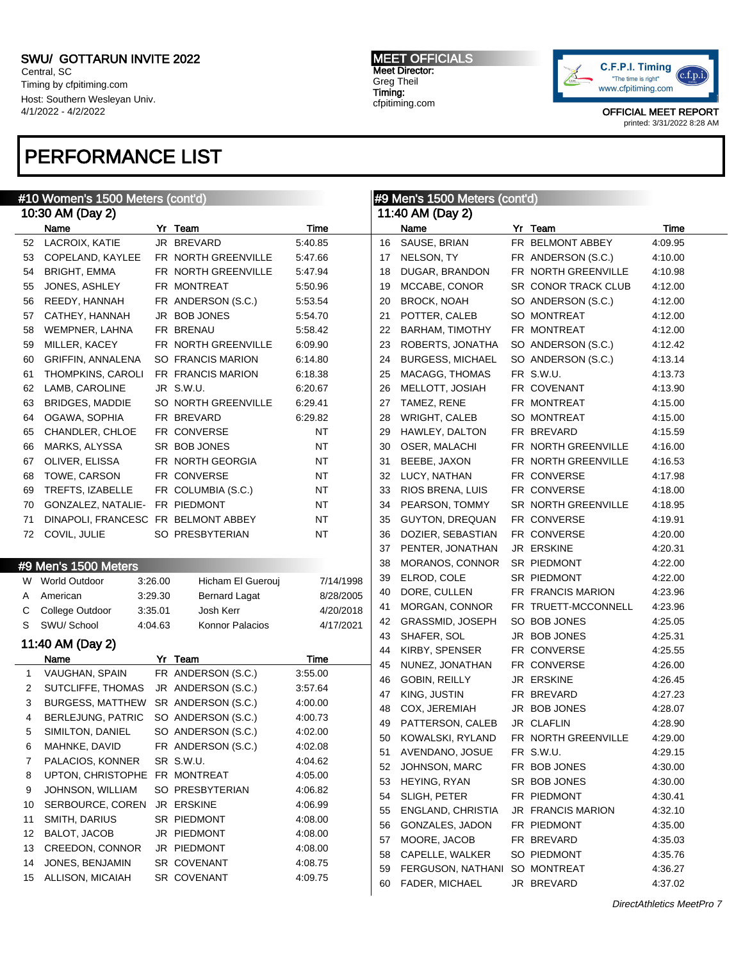Central, SC Timing by cfpitiming.com Host: Southern Wesleyan Univ. 4/1/2022 - 4/2/2022

# PERFORMANCE LIST

### Meters (cont'd)

MEET OFFICIALS Meet Director: Greg Theil Timing: cfpitiming.com



|                  | #10 Women's 1500 Meters (cont'd)    |         |                      |           | #9 Men's 1500 Meters (cont'd) |                               |  |                     |         |
|------------------|-------------------------------------|---------|----------------------|-----------|-------------------------------|-------------------------------|--|---------------------|---------|
| 10:30 AM (Day 2) |                                     |         |                      |           |                               | 11:40 AM (Day 2)              |  |                     |         |
|                  | Name                                |         | Yr Team              | Time      |                               | Name                          |  | Yr Team             | Time    |
| 52               | LACROIX, KATIE                      |         | JR BREVARD           | 5:40.85   | 16                            | SAUSE, BRIAN                  |  | FR BELMONT ABBEY    | 4:09.95 |
| 53               | COPELAND, KAYLEE                    |         | FR NORTH GREENVILLE  | 5:47.66   | 17                            | NELSON, TY                    |  | FR ANDERSON (S.C.)  | 4:10.00 |
| 54               | <b>BRIGHT, EMMA</b>                 |         | FR NORTH GREENVILLE  | 5:47.94   | 18                            | DUGAR, BRANDON                |  | FR NORTH GREENVILLE | 4:10.98 |
| 55               | JONES, ASHLEY                       |         | FR MONTREAT          | 5:50.96   | 19                            | MCCABE, CONOR                 |  | SR CONOR TRACK CLUB | 4:12.00 |
| 56               | REEDY, HANNAH                       |         | FR ANDERSON (S.C.)   | 5:53.54   | 20                            | <b>BROCK, NOAH</b>            |  | SO ANDERSON (S.C.)  | 4:12.00 |
| 57               | CATHEY, HANNAH                      |         | JR BOB JONES         | 5:54.70   | 21                            | POTTER, CALEB                 |  | SO MONTREAT         | 4:12.00 |
| 58               | WEMPNER, LAHNA                      |         | FR BRENAU            | 5:58.42   | 22                            | <b>BARHAM, TIMOTHY</b>        |  | FR MONTREAT         | 4:12.00 |
| 59               | MILLER, KACEY                       |         | FR NORTH GREENVILLE  | 6:09.90   | 23                            | ROBERTS, JONATHA              |  | SO ANDERSON (S.C.)  | 4:12.42 |
| 60               | GRIFFIN, ANNALENA                   |         | SO FRANCIS MARION    | 6:14.80   | 24                            | <b>BURGESS, MICHAEL</b>       |  | SO ANDERSON (S.C.)  | 4:13.14 |
| 61               | <b>THOMPKINS, CAROLI</b>            |         | FR FRANCIS MARION    | 6:18.38   | 25                            | MACAGG, THOMAS                |  | FR S.W.U.           | 4:13.73 |
| 62               | LAMB, CAROLINE                      |         | JR S.W.U.            | 6:20.67   | 26                            | MELLOTT, JOSIAH               |  | FR COVENANT         | 4:13.90 |
| 63               | <b>BRIDGES, MADDIE</b>              |         | SO NORTH GREENVILLE  | 6:29.41   | 27                            | TAMEZ, RENE                   |  | FR MONTREAT         | 4:15.00 |
| 64               | OGAWA, SOPHIA                       |         | FR BREVARD           | 6:29.82   | 28                            | WRIGHT, CALEB                 |  | SO MONTREAT         | 4:15.00 |
| 65               | CHANDLER, CHLOE                     |         | FR CONVERSE          | NT        | 29                            | HAWLEY, DALTON                |  | FR BREVARD          | 4:15.59 |
| 66               | MARKS, ALYSSA                       |         | SR BOB JONES         | <b>NT</b> | 30                            | OSER, MALACHI                 |  | FR NORTH GREENVILLE | 4:16.00 |
| 67               | OLIVER, ELISSA                      |         | FR NORTH GEORGIA     | <b>NT</b> | 31                            | BEEBE, JAXON                  |  | FR NORTH GREENVILLE | 4:16.53 |
| 68               | TOWE, CARSON                        |         | FR CONVERSE          | NT        | 32                            | LUCY, NATHAN                  |  | FR CONVERSE         | 4:17.98 |
| 69               | TREFTS, IZABELLE                    |         | FR COLUMBIA (S.C.)   | <b>NT</b> | 33                            | RIOS BRENA, LUIS              |  | FR CONVERSE         | 4:18.00 |
| 70               | GONZALEZ, NATALIE- FR PIEDMONT      |         |                      | NT        | 34                            | PEARSON, TOMMY                |  | SR NORTH GREENVILLE | 4:18.95 |
| 71               | DINAPOLI, FRANCESC FR BELMONT ABBEY |         |                      | NT        | 35                            | <b>GUYTON, DREQUAN</b>        |  | FR CONVERSE         | 4:19.91 |
| 72               | COVIL, JULIE                        |         | SO PRESBYTERIAN      | <b>NT</b> | 36                            | DOZIER, SEBASTIAN             |  | FR CONVERSE         | 4:20.00 |
|                  |                                     |         |                      |           | 37                            | PENTER, JONATHAN              |  | JR ERSKINE          | 4:20.31 |
|                  |                                     |         |                      |           | 38                            | MORANOS, CONNOR               |  | SR PIEDMONT         | 4:22.00 |
|                  | #9 Men's 1500 Meters                |         |                      |           | 39                            | ELROD, COLE                   |  | SR PIEDMONT         | 4:22.00 |
|                  | W World Outdoor                     | 3:26.00 | Hicham El Guerouj    | 7/14/1998 | 40                            | DORE, CULLEN                  |  | FR FRANCIS MARION   | 4:23.96 |
| A                | American                            | 3:29.30 | <b>Bernard Lagat</b> | 8/28/2005 | 41                            | MORGAN, CONNOR                |  | FR TRUETT-MCCONNELL | 4:23.96 |
| С                | College Outdoor                     | 3:35.01 | Josh Kerr            | 4/20/2018 | 42                            | GRASSMID, JOSEPH              |  | SO BOB JONES        | 4:25.05 |
| S                | SWU/ School                         | 4:04.63 | Konnor Palacios      | 4/17/2021 | 43                            | SHAFER, SOL                   |  | JR BOB JONES        | 4:25.31 |
|                  | 11:40 AM (Day 2)                    |         |                      |           | 44                            | KIRBY, SPENSER                |  | FR CONVERSE         | 4:25.55 |
|                  | Name                                |         | Yr Team              | Time      | 45                            | NUNEZ, JONATHAN               |  | FR CONVERSE         | 4:26.00 |
| 1                | VAUGHAN, SPAIN                      |         | FR ANDERSON (S.C.)   | 3:55.00   | 46                            | GOBIN, REILLY                 |  | JR ERSKINE          | 4:26.45 |
| 2                | SUTCLIFFE, THOMAS                   |         | JR ANDERSON (S.C.)   | 3:57.64   | 47                            | KING, JUSTIN                  |  | FR BREVARD          | 4:27.23 |
| 3                | BURGESS, MATTHEW SR ANDERSON (S.C.) |         |                      | 4:00.00   | 48                            | COX, JEREMIAH                 |  | JR BOB JONES        | 4:28.07 |
| 4                | <b>BERLEJUNG, PATRIC</b>            |         | SO ANDERSON (S.C.)   | 4:00.73   | 49                            | PATTERSON, CALEB              |  | JR CLAFLIN          | 4:28.90 |
| 5.               | SIMILTON, DANIEL                    |         | SO ANDERSON (S.C.)   | 4:02.00   | 50                            | KOWALSKI, RYLAND              |  | FR NORTH GREENVILLE | 4:29.00 |
| 6                | MAHNKE, DAVID                       |         | FR ANDERSON (S.C.)   | 4:02.08   | 51                            | AVENDANO, JOSUE               |  | FR S.W.U.           | 4:29.15 |
| 7                | PALACIOS, KONNER                    |         | SR S.W.U.            | 4:04.62   | 52                            | JOHNSON, MARC                 |  | FR BOB JONES        | 4:30.00 |
| 8                | UPTON, CHRISTOPHE FR MONTREAT       |         |                      | 4:05.00   | 53                            | HEYING, RYAN                  |  | SR BOB JONES        | 4:30.00 |
| 9                | JOHNSON, WILLIAM                    |         | SO PRESBYTERIAN      | 4:06.82   | 54                            | SLIGH, PETER                  |  | FR PIEDMONT         | 4:30.41 |
| 10               | SERBOURCE, COREN                    |         | JR ERSKINE           | 4:06.99   |                               | ENGLAND, CHRISTIA             |  | JR FRANCIS MARION   | 4:32.10 |
| 11               | SMITH, DARIUS                       |         | SR PIEDMONT          | 4:08.00   | 55                            | GONZALES, JADON               |  |                     |         |
| 12               | BALOT, JACOB                        |         | JR PIEDMONT          | 4:08.00   | 56                            |                               |  | FR PIEDMONT         | 4:35.00 |
| 13               | CREEDON, CONNOR                     |         | JR PIEDMONT          | 4:08.00   | 57                            | MOORE, JACOB                  |  | FR BREVARD          | 4:35.03 |
| 14               | JONES, BENJAMIN                     |         | SR COVENANT          | 4:08.75   | 58                            | CAPELLE, WALKER               |  | SO PIEDMONT         | 4:35.76 |
| 15               | ALLISON, MICAIAH                    |         | SR COVENANT          | 4:09.75   | 59                            | FERGUSON, NATHANI SO MONTREAT |  |                     | 4:36.27 |
|                  |                                     |         |                      |           | 60                            | FADER, MICHAEL                |  | JR BREVARD          | 4:37.02 |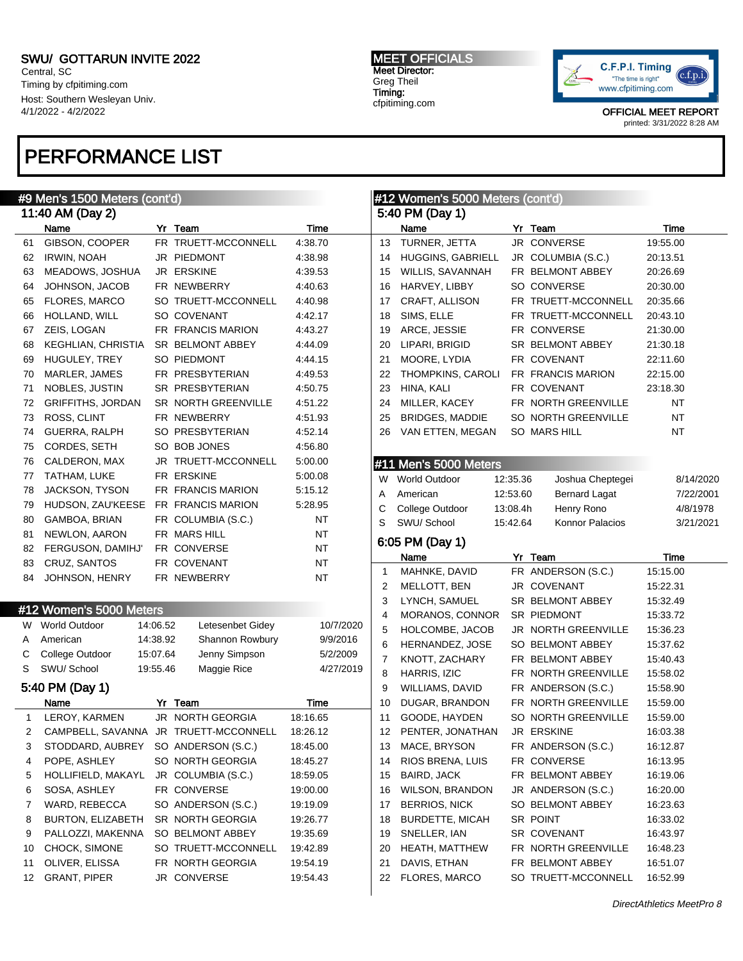Central, SC Timing by cfpitiming.com Host: Southern Wesleyan Univ. 4/1/2022 - 4/2/2022

# PERFORMANCE LIST

#### MEET OFFICIALS Meet Director: Greg Theil Timing: cfpitiming.com



OFFICIAL MEET REPORT printed: 3/31/2022 8:28 AM

|              | #9 Men's 1500 Meters (cont'd) | #12 Women's 5000 N |                                       |             |                |                        |
|--------------|-------------------------------|--------------------|---------------------------------------|-------------|----------------|------------------------|
|              | 11:40 AM (Day 2)              |                    |                                       |             |                | 5:40 PM (Day 1)        |
|              | Name                          |                    | Yr Team                               | <b>Time</b> |                | Name                   |
| 61           | GIBSON, COOPER                |                    | FR TRUETT-MCCONNELL                   | 4:38.70     | 13             | TURNER, JETTA          |
| 62           | IRWIN, NOAH                   |                    | JR PIEDMONT                           | 4:38.98     | 14             | <b>HUGGINS, GABRIE</b> |
| 63           | MEADOWS, JOSHUA               |                    | JR ERSKINE                            | 4:39.53     | 15             | WILLIS, SAVANNAH       |
| 64           | JOHNSON, JACOB                |                    | FR NEWBERRY                           | 4:40.63     | 16             | HARVEY, LIBBY          |
| 65           | FLORES, MARCO                 |                    | SO TRUETT-MCCONNELL                   | 4:40.98     | 17             | CRAFT, ALLISON         |
| 66           | HOLLAND, WILL                 |                    | SO COVENANT                           | 4:42.17     | 18             | SIMS, ELLE             |
| 67           | ZEIS, LOGAN                   |                    | FR FRANCIS MARION                     | 4:43.27     | 19             | ARCE, JESSIE           |
| 68           | KEGHLIAN, CHRISTIA            |                    | SR BELMONT ABBEY                      | 4:44.09     | 20             | LIPARI, BRIGID         |
| 69           | HUGULEY, TREY                 |                    | SO PIEDMONT                           | 4:44.15     | 21             | MOORE, LYDIA           |
| 70           | MARLER, JAMES                 |                    | FR PRESBYTERIAN                       | 4:49.53     | 22             | <b>THOMPKINS, CARO</b> |
| 71           | NOBLES, JUSTIN                |                    | SR PRESBYTERIAN                       | 4:50.75     | 23             | HINA, KALI             |
| 72           | <b>GRIFFITHS, JORDAN</b>      |                    | SR NORTH GREENVILLE                   | 4:51.22     | 24             | MILLER, KACEY          |
| 73           | ROSS, CLINT                   |                    | FR NEWBERRY                           | 4:51.93     | 25             | <b>BRIDGES, MADDIE</b> |
| 74           | GUERRA, RALPH                 |                    | SO PRESBYTERIAN                       | 4:52.14     | 26             | VAN ETTEN, MEGA        |
| 75           | CORDES, SETH                  |                    | SO BOB JONES                          | 4:56.80     |                |                        |
| 76           | CALDERON, MAX                 |                    | JR TRUETT-MCCONNELL                   | 5:00.00     |                | #11 Men's 5000 Mete    |
| 77           | TATHAM, LUKE                  |                    | FR ERSKINE                            | 5:00.08     | W              | <b>World Outdoor</b>   |
| 78           | <b>JACKSON, TYSON</b>         |                    | FR FRANCIS MARION                     | 5:15.12     | A              | American               |
| 79           | HUDSON, ZAU'KEESE             |                    | FR FRANCIS MARION                     | 5:28.95     | C              | College Outdoor        |
| 80           | GAMBOA, BRIAN                 |                    | FR COLUMBIA (S.C.)                    | NT          | S              | SWU/ School            |
| 81           | NEWLON, AARON                 |                    | FR MARS HILL                          | NT          |                |                        |
| 82           | FERGUSON, DAMIHJ'             |                    | FR CONVERSE                           | NT          |                | 6:05 PM (Day 1)        |
| 83           | CRUZ, SANTOS                  |                    | FR COVENANT                           | <b>NT</b>   |                | Name                   |
| 84           | JOHNSON, HENRY                |                    | FR NEWBERRY                           | NT          | 1              | MAHNKE, DAVID          |
|              |                               |                    |                                       |             | 2              | MELLOTT, BEN           |
|              | #12 Women's 5000 Meters       |                    |                                       |             | 3              | LYNCH, SAMUEL          |
| W            | <b>World Outdoor</b>          | 14:06.52           | Letesenbet Gidey                      | 10/7/2020   | 4              | MORANOS, CONNO         |
| Α            |                               |                    |                                       |             |                |                        |
|              |                               |                    |                                       |             | 5              | HOLCOMBE, JACO         |
|              | American                      | 14:38.92           | Shannon Rowbury                       | 9/9/2016    | 6              | HERNANDEZ, JOSI        |
| С            | College Outdoor               | 15:07.64           | Jenny Simpson                         | 5/2/2009    | $\overline{7}$ | KNOTT, ZACHARY         |
| S            | SWU/ School                   | 19:55.46           | Maggie Rice                           | 4/27/2019   | 8              | HARRIS, IZIC           |
|              | 5:40 PM (Day 1)               |                    |                                       |             | 9              | WILLIAMS, DAVID        |
|              | Name                          |                    | Yr Team                               | Time        | 10             | DUGAR, BRANDON         |
| $\mathbf{1}$ | LEROY, KARMEN                 |                    | JR NORTH GEORGIA                      | 18:16.65    | 11             | GOODE, HAYDEN          |
| 2            |                               |                    | CAMPBELL, SAVANNA JR TRUETT-MCCONNELL | 18:26.12    | 12             | PENTER, JONATHA        |
| 3            | STODDARD, AUBREY              |                    | SO ANDERSON (S.C.)                    | 18:45.00    | 13             | MACE, BRYSON           |
| 4            | POPE, ASHLEY                  |                    | SO NORTH GEORGIA                      | 18:45.27    | 14             | RIOS BRENA, LUIS       |
| 5            | HOLLIFIELD, MAKAYL            |                    | JR COLUMBIA (S.C.)                    | 18:59.05    | 15             | BAIRD, JACK            |
| 6            | SOSA, ASHLEY                  |                    | FR CONVERSE                           | 19:00.00    | 16             | <b>WILSON, BRANDOI</b> |
| 7            | WARD, REBECCA                 |                    | SO ANDERSON (S.C.)                    | 19:19.09    | 17             | <b>BERRIOS, NICK</b>   |
| 8            | BURTON, ELIZABETH             |                    | SR NORTH GEORGIA                      | 19:26.77    | 18             | <b>BURDETTE, MICAH</b> |
| 9            | PALLOZZI, MAKENNA             |                    | SO BELMONT ABBEY                      | 19:35.69    | 19             | SNELLER, IAN           |
| 10           | CHOCK, SIMONE                 |                    | SO TRUETT-MCCONNELL                   | 19:42.89    | 20             | <b>HEATH, MATTHEW</b>  |
| 11           | OLIVER, ELISSA                |                    | FR NORTH GEORGIA                      | 19:54.19    | 21             | DAVIS, ETHAN           |
| 12           | <b>GRANT, PIPER</b>           |                    | JR CONVERSE                           | 19:54.43    | 22             | FLORES, MARCO          |

|    | #12 Women's 5000 Meters (cont'd)<br>5:40 PM (Day 1) |          |                      |           |
|----|-----------------------------------------------------|----------|----------------------|-----------|
|    | Name                                                |          | Yr Team              | Time      |
| 13 | TURNER, JETTA                                       |          | JR CONVERSE          | 19:55.00  |
| 14 | <b>HUGGINS, GABRIELL</b>                            |          | JR COLUMBIA (S.C.)   | 20:13.51  |
| 15 | WILLIS, SAVANNAH                                    |          | FR BELMONT ABBEY     | 20:26.69  |
| 16 | HARVEY, LIBBY                                       |          | SO CONVERSE          | 20:30.00  |
| 17 | CRAFT, ALLISON                                      |          | FR TRUETT-MCCONNELL  | 20:35.66  |
| 18 | SIMS, ELLE                                          |          | FR TRUETT-MCCONNELL  | 20:43.10  |
| 19 | ARCE, JESSIE                                        |          | FR CONVERSE          | 21:30.00  |
| 20 | LIPARI, BRIGID                                      |          | SR BELMONT ABBEY     | 21:30.18  |
| 21 | MOORE, LYDIA                                        |          | FR COVENANT          | 22:11.60  |
| 22 | THOMPKINS, CAROLI                                   |          | FR FRANCIS MARION    | 22:15.00  |
| 23 | HINA, KALI                                          |          | FR COVENANT          | 23:18.30  |
| 24 | MILLER, KACEY                                       |          | FR NORTH GREENVILLE  | ΝT        |
| 25 | <b>BRIDGES, MADDIE</b>                              |          | SO NORTH GREENVILLE  | ΝT        |
| 26 | VAN ETTEN, MEGAN                                    |          | SO MARS HILL         | ΝT        |
|    |                                                     |          |                      |           |
|    | #11 Men's 5000 Meters                               |          |                      |           |
| W  | <b>World Outdoor</b>                                | 12:35.36 | Joshua Cheptegei     | 8/14/2020 |
| Α  | American                                            | 12:53.60 | <b>Bernard Lagat</b> | 7/22/2001 |
| С  | College Outdoor                                     | 13:08.4h | Henry Rono           | 4/8/1978  |
| S  | SWU/ School                                         | 15:42.64 | Konnor Palacios      | 3/21/2021 |
|    | 6:05 PM (Day 1)                                     |          |                      |           |
|    | Name                                                | Yr       | Team                 | Time      |
| 1  | MAHNKE, DAVID                                       |          | FR ANDERSON (S.C.)   | 15:15.00  |
| 2  | MELLOTT, BEN                                        |          | JR COVENANT          | 15:22.31  |
| 3  | LYNCH, SAMUEL                                       |          | SR BELMONT ABBEY     | 15:32.49  |
| 4  | MORANOS, CONNOR                                     |          | SR PIEDMONT          | 15:33.72  |
| 5  | HOLCOMBE, JACOB                                     |          | JR NORTH GREENVILLE  | 15:36.23  |
| 6  | HERNANDEZ, JOSE                                     |          | SO BELMONT ABBEY     | 15:37.62  |
| 7  | KNOTT, ZACHARY                                      |          | FR BELMONT ABBEY     | 15:40.43  |
| 8  | HARRIS, IZIC                                        |          | FR NORTH GREENVILLE  | 15:58.02  |
| 9  | WILLIAMS, DAVID                                     |          | FR ANDERSON (S.C.)   | 15:58.90  |
| 10 | DUGAR, BRANDON                                      |          | FR NORTH GREENVILLE  | 15:59.00  |
| 11 | GOODE, HAYDEN                                       |          | SO NORTH GREENVILLE  | 15:59.00  |
| 12 | PENTER, JONATHAN                                    |          | JR ERSKINE           | 16:03.38  |
| 13 | MACE, BRYSON                                        |          | FR ANDERSON (S.C.)   | 16:12.87  |
| 14 | RIOS BRENA, LUIS                                    |          | FR CONVERSE          | 16:13.95  |
| 15 | BAIRD, JACK                                         |          | FR BELMONT ABBEY     | 16:19.06  |
| 16 | <b>WILSON, BRANDON</b>                              |          | JR ANDERSON (S.C.)   | 16:20.00  |
| 17 | <b>BERRIOS, NICK</b>                                |          | SO BELMONT ABBEY     | 16:23.63  |
| 18 | <b>BURDETTE, MICAH</b>                              |          | SR POINT             | 16:33.02  |
| 19 | SNELLER, IAN                                        |          | SR COVENANT          | 16:43.97  |
| 20 | <b>HEATH, MATTHEW</b>                               |          | FR NORTH GREENVILLE  | 16:48.23  |

FR BELMONT ABBEY 16:51.07 SO TRUETT-MCCONNELL 16:52.99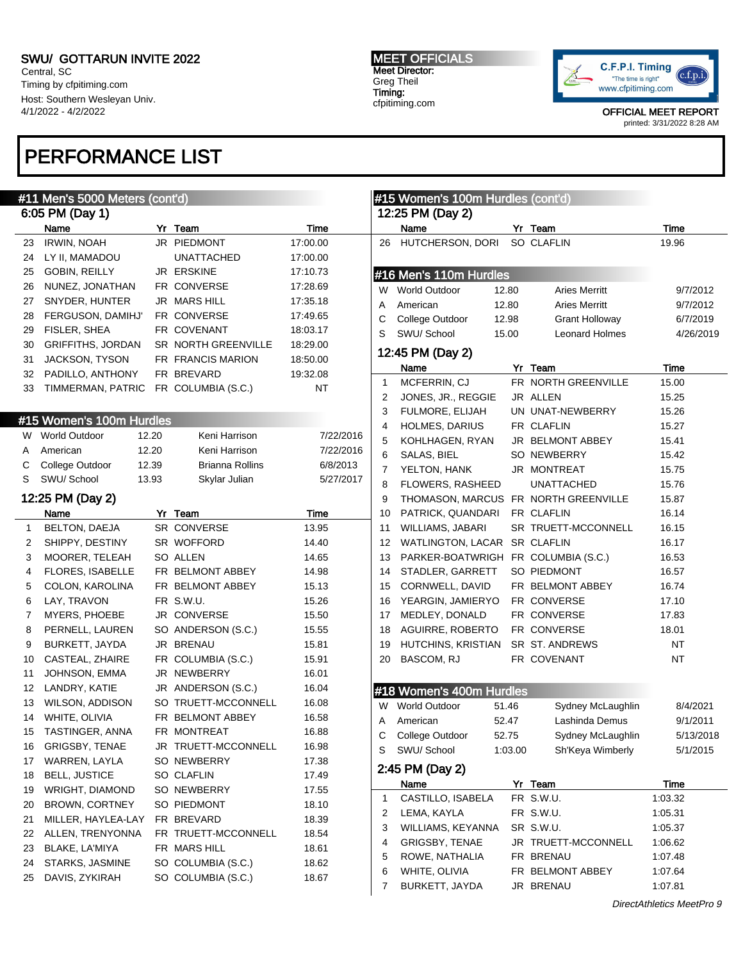Central, SC Timing by cfpitiming.com Host: Southern Wesleyan Univ. 4/1/2022 - 4/2/2022

## PERFORMANCE LIST

Name Yr Team Time 23 IRWIN, NOAH JR PIEDMONT 17:00.00 24 LY II, MAMADOU UNATTACHED 17:00.00 25 GOBIN, REILLY JR ERSKINE 17:10.73 26 NUNEZ, JONATHAN FR CONVERSE 17:28.69 27 SNYDER, HUNTER JR MARS HILL 17:35.18 28 FERGUSON, DAMIHJ' FR CONVERSE 17:49.65 29 FISLER, SHEA FR COVENANT 18:03.17 30 GRIFFITHS, JORDAN SR NORTH GREENVILLE 18:29.00 31 JACKSON, TYSON FR FRANCIS MARION 18:50.00 32 PADILLO, ANTHONY FR BREVARD 19:32.08 33 TIMMERMAN, PATRIC FR COLUMBIA (S.C.) NT

W World Outdoor 12.20 Keni Harrison 7/22/20 A American 12.20 Keni Harrison 7/22/20 C College Outdoor 12.39 Brianna Rollins 6/8/201 S SWU/ School 13.93 Skylar Julian 5/27/20

Name **Yr Team Time** 1 BELTON, DAEJA SR CONVERSE 13.95 2 SHIPPY, DESTINY SR WOFFORD 14.40 3 MOORER, TELEAH SO ALLEN 14.65 4 FLORES, ISABELLE FR BELMONT ABBEY 14.98 5 COLON, KAROLINA FR BELMONT ABBEY 15.13 6 LAY, TRAVON FR S.W.U. 15.26 7 MYERS, PHOEBE JR CONVERSE 15.50 8 PERNELL, LAUREN SO ANDERSON (S.C.) 15.55 9 BURKETT, JAYDA JR BRENAU 15.81 10 CASTEAL, ZHAIRE FR COLUMBIA (S.C.) 15.91 11 JOHNSON, EMMA JR NEWBERRY 16.01 12 LANDRY, KATIE JR ANDERSON (S.C.) 16.04 13 WILSON, ADDISON SO TRUETT-MCCONNELL 16.08 14 WHITE, OLIVIA FR BELMONT ABBEY 16.58 15 TASTINGER, ANNA FR MONTREAT 16.88 16 GRIGSBY, TENAE JR TRUETT-MCCONNELL 16.98 17 WARREN, LAYLA SO NEWBERRY 17.38 18 BELL, JUSTICE SO CLAFLIN 17.49 19 WRIGHT, DIAMOND SO NEWBERRY 17.55 20 BROWN, CORTNEY SO PIEDMONT 18.10 21 MILLER, HAYLEA-LAY FR BREVARD 18.39 22 ALLEN, TRENYONNA FR TRUETT-MCCONNELL 18.54 23 BLAKE, LA'MIYA FR MARS HILL 18.61 24 STARKS, JASMINE SO COLUMBIA (S.C.) 18.62 25 DAVIS, ZYKIRAH SO COLUMBIA (S.C.) 18.67

#11 Men's 5000 Meters (cont'd)

#15 Women's 100m Hurdles

12:25 PM (Day 2)

6:05 PM (Day 1)

MEET OFFICIALS Meet Director: Greg Theil Timing: cfpitiming.com



OFFICIAL MEET REPORT printed: 3/31/2022 8:28 AM

|    | #15 Women's 100m Hurdles (cont'd)   |       |         |                                      |           |
|----|-------------------------------------|-------|---------|--------------------------------------|-----------|
|    | 12:25 PM (Day 2)<br>Name            |       |         | Yr Team                              | Time      |
| 26 | HUTCHERSON, DORI                    |       |         | <b>SO CLAFLIN</b>                    | 19.96     |
|    |                                     |       |         |                                      |           |
|    | #16 Men's 110m Hurdles              |       |         |                                      |           |
|    | W World Outdoor                     | 12.80 |         | <b>Aries Merritt</b>                 | 9/7/2012  |
| A  | American                            | 12.80 |         | <b>Aries Merritt</b>                 | 9/7/2012  |
| C  | College Outdoor                     | 12.98 |         | Grant Holloway                       | 6/7/2019  |
| S  | SWU/ School                         | 15.00 |         | Leonard Holmes                       | 4/26/2019 |
|    | 12:45 PM (Day 2)                    |       |         |                                      |           |
|    | Name                                |       |         | Yr Team                              | Time      |
| 1  | MCFERRIN, CJ                        |       |         | FR NORTH GREENVILLE                  | 15.00     |
| 2  | JONES, JR., REGGIE                  |       |         | JR ALLEN                             | 15.25     |
| 3  | FULMORE, ELIJAH                     |       |         | UN UNAT-NEWBERRY                     | 15.26     |
| 4  | HOLMES, DARIUS                      |       |         | FR CLAFLIN                           | 15.27     |
| 5  | KOHLHAGEN, RYAN                     |       |         | JR BELMONT ABBEY                     | 15.41     |
| 6  | SALAS, BIEL                         |       |         | SO NEWBERRY                          | 15.42     |
| 7  | YELTON, HANK                        |       |         | JR MONTREAT                          | 15.75     |
| 8  | FLOWERS, RASHEED                    |       |         | <b>UNATTACHED</b>                    | 15.76     |
| 9  |                                     |       |         | THOMASON, MARCUS FR NORTH GREENVILLE | 15.87     |
| 10 | PATRICK, QUANDARI                   |       |         | FR CLAFLIN                           | 16.14     |
| 11 | WILLIAMS, JABARI                    |       |         | SR TRUETT-MCCONNELL                  | 16.15     |
| 12 | WATLINGTON, LACAR SR CLAFLIN        |       |         |                                      | 16.17     |
| 13 | PARKER-BOATWRIGH FR COLUMBIA (S.C.) |       |         |                                      | 16.53     |
| 14 | STADLER, GARRETT                    |       |         | SO PIEDMONT                          | 16.57     |
| 15 | CORNWELL, DAVID                     |       |         | FR BELMONT ABBEY                     | 16.74     |
| 16 | YEARGIN, JAMIERYO FR CONVERSE       |       |         |                                      | 17.10     |
| 17 | MEDLEY, DONALD FR CONVERSE          |       |         |                                      | 17.83     |
| 18 | AGUIRRE, ROBERTO FR CONVERSE        |       |         |                                      | 18.01     |
| 19 | HUTCHINS, KRISTIAN SR ST. ANDREWS   |       |         |                                      | NT        |
| 20 | BASCOM, RJ                          |       |         | FR COVENANT                          | NT        |
|    |                                     |       |         |                                      |           |
|    | #18 Women's 400m Hurdles            |       |         |                                      |           |
| W  | <b>World Outdoor</b>                | 51.46 |         | Sydney McLaughlin                    | 8/4/2021  |
| A  | American                            | 52.47 |         | Lashinda Demus                       | 9/1/2011  |
| С  | College Outdoor                     | 52.75 |         | Sydney McLaughlin                    | 5/13/2018 |
| S  | SWU/ School                         |       | 1:03.00 | Sh'Keya Wimberly                     | 5/1/2015  |
|    | 2:45 PM (Day 2)                     |       |         |                                      |           |
|    | Name                                |       |         | Yr Team                              | Time      |
| 1  | CASTILLO, ISABELA                   |       |         | FR S.W.U.                            | 1:03.32   |
| 2  | LEMA, KAYLA                         |       |         | FR S.W.U.                            | 1:05.31   |
| 3  | WILLIAMS, KEYANNA                   |       |         | SR S.W.U.                            | 1:05.37   |
| 4  | <b>GRIGSBY, TENAE</b>               |       |         | JR TRUETT-MCCONNELL                  | 1:06.62   |
| 5  | ROWE, NATHALIA                      |       |         | FR BRENAU                            | 1:07.48   |
| 6  | WHITE, OLIVIA                       |       |         | FR BELMONT ABBEY                     | 1:07.64   |
| 7  | BURKETT, JAYDA                      |       |         | JR BRENAU                            | 1:07.81   |
|    |                                     |       |         |                                      |           |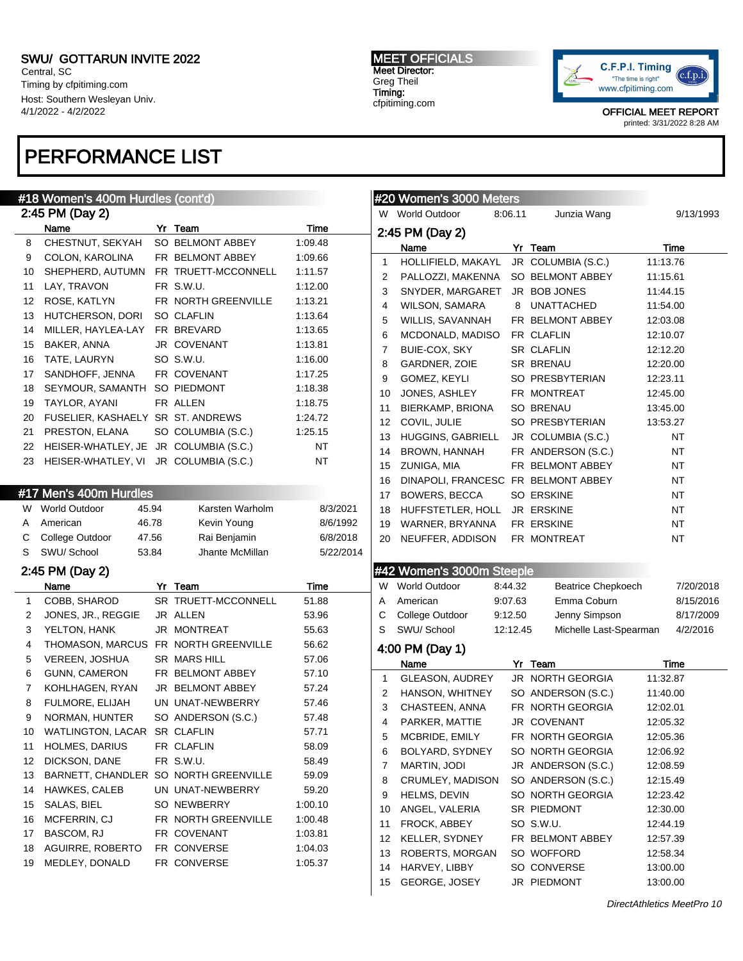Central, SC Timing by cfpitiming.com Host: Southern Wesleyan Univ. 4/1/2022 - 4/2/2022

# PERFORMANCE LIST

MEET OFFICIALS Meet Director: Greg Theil Timing: cfpitiming.com



OFFICIAL MEET REPORT

printed: 3/31/2022 8:28 AM

|              | #18 Women's 400m Hurdles (cont'd)        |                     |             |              | #20 Women's 3000 Meters                       |          |                           |          |           |
|--------------|------------------------------------------|---------------------|-------------|--------------|-----------------------------------------------|----------|---------------------------|----------|-----------|
|              | 2:45 PM (Day 2)                          |                     |             |              | W World Outdoor                               | 8:06.11  | Junzia Wang               |          | 9/13/1993 |
|              | Name                                     | Yr Team             | <b>Time</b> |              | 2:45 PM (Day 2)                               |          |                           |          |           |
| 8            | CHESTNUT, SEKYAH                         | SO BELMONT ABBEY    | 1:09.48     |              | Name                                          |          | Yr Team                   |          | Time      |
| 9            | COLON, KAROLINA                          | FR BELMONT ABBEY    | 1:09.66     | $\mathbf{1}$ | HOLLIFIELD, MAKAYL                            |          | JR COLUMBIA (S.C.)        | 11:13.76 |           |
| 10           | SHEPHERD, AUTUMN                         | FR TRUETT-MCCONNELL | 1:11.57     | 2            | PALLOZZI, MAKENNA SO BELMONT ABBEY            |          |                           | 11:15.61 |           |
| 11           | LAY, TRAVON                              | FR S.W.U.           | 1:12.00     | 3            | SNYDER, MARGARET                              |          | JR BOB JONES              | 11:44.15 |           |
| 12           | ROSE, KATLYN                             | FR NORTH GREENVILLE | 1:13.21     | 4            | WILSON, SAMARA                                |          | 8 UNATTACHED              | 11:54.00 |           |
| 13           | HUTCHERSON, DORI                         | <b>SO CLAFLIN</b>   | 1:13.64     | 5            | WILLIS, SAVANNAH                              |          | FR BELMONT ABBEY          | 12:03.08 |           |
| 14           | MILLER, HAYLEA-LAY                       | FR BREVARD          | 1:13.65     | 6            | MCDONALD, MADISO                              |          | FR CLAFLIN                | 12:10.07 |           |
| 15           | BAKER, ANNA                              | JR COVENANT         | 1:13.81     | 7            | BUIE-COX, SKY                                 |          | SR CLAFLIN                | 12:12.20 |           |
| 16           | TATE, LAURYN                             | SO S.W.U.           | 1:16.00     | 8            | GARDNER, ZOIE                                 |          | <b>SR BRENAU</b>          | 12:20.00 |           |
| 17           | SANDHOFF, JENNA                          | FR COVENANT         | 1:17.25     | 9            | GOMEZ, KEYLI                                  |          | SO PRESBYTERIAN           | 12:23.11 |           |
| 18           | SEYMOUR, SAMANTH SO PIEDMONT             |                     | 1:18.38     | 10           | JONES, ASHLEY                                 |          | FR MONTREAT               | 12:45.00 |           |
| 19           | TAYLOR, AYANI                            | FR ALLEN            | 1:18.75     | 11           | BIERKAMP, BRIONA                              |          | SO BRENAU                 | 13:45.00 |           |
| 20           | FUSELIER, KASHAELY SR ST. ANDREWS        |                     | 1:24.72     | 12           | COVIL, JULIE                                  |          | SO PRESBYTERIAN           | 13:53.27 |           |
| 21           | PRESTON, ELANA                           | SO COLUMBIA (S.C.)  | 1:25.15     | 13           | HUGGINS, GABRIELL                             |          | JR COLUMBIA (S.C.)        |          | NT        |
| 22           | HEISER-WHATLEY, JE JR COLUMBIA (S.C.)    |                     | NT          | 14           | BROWN, HANNAH                                 |          | FR ANDERSON (S.C.)        |          | NT        |
|              | 23 HEISER-WHATLEY, VI JR COLUMBIA (S.C.) |                     | <b>NT</b>   | 15           | ZUNIGA, MIA                                   |          | FR BELMONT ABBEY          |          | NT        |
|              |                                          |                     |             | 16           | DINAPOLI, FRANCESC FR BELMONT ABBEY           |          |                           |          | NT        |
|              | #17 Men's 400m Hurdles                   |                     |             | 17           |                                               |          | SO ERSKINE                |          | NT        |
|              | W World Outdoor<br>45.94                 | Karsten Warholm     | 8/3/2021    | 18           | BOWERS, BECCA<br>HUFFSTETLER, HOLL JR ERSKINE |          |                           |          | NT        |
| A            | American<br>46.78                        | Kevin Young         | 8/6/1992    | 19           |                                               |          | FR ERSKINE                |          | NT        |
| С            | 47.56<br>College Outdoor                 | Rai Benjamin        | 6/8/2018    |              | WARNER, BRYANNA<br>NEUFFER, ADDISON           |          | FR MONTREAT               |          | <b>NT</b> |
| S            | SWU/ School<br>53.84                     | Jhante McMillan     | 5/22/2014   | 20           |                                               |          |                           |          |           |
|              |                                          |                     |             |              |                                               |          |                           |          |           |
|              | 2:45 PM (Day 2)                          |                     |             |              | #42 Women's 3000m Steeple                     |          |                           |          |           |
|              | Name                                     | Yr Team             | Time        |              | W World Outdoor                               | 8:44.32  | <b>Beatrice Chepkoech</b> |          | 7/20/2018 |
| $\mathbf{1}$ | COBB, SHAROD                             | SR TRUETT-MCCONNELL | 51.88       | Α            | American                                      | 9:07.63  | Emma Coburn               |          | 8/15/2016 |
| 2            | JONES, JR., REGGIE                       | JR ALLEN            | 53.96       | С            | College Outdoor                               | 9:12.50  | Jenny Simpson             |          | 8/17/2009 |
| 3            | YELTON, HANK                             | JR MONTREAT         | 55.63       | S            | SWU/ School                                   | 12:12.45 | Michelle Last-Spearman    |          | 4/2/2016  |
| 4            | THOMASON, MARCUS FR NORTH GREENVILLE     |                     | 56.62       |              | 4:00 PM (Day 1)                               |          |                           |          |           |
| 5            | VEREEN, JOSHUA                           | SR MARS HILL        | 57.06       |              | Name                                          |          | Yr Team                   |          | Time      |
| 6            | GUNN, CAMERON                            | FR BELMONT ABBEY    | 57.10       | $\mathbf{1}$ | GLEASON, AUDREY                               |          | JR NORTH GEORGIA          | 11:32.87 |           |
| 7            | KOHLHAGEN, RYAN                          | JR BELMONT ABBEY    | 57.24       | 2            | HANSON, WHITNEY                               |          | SO ANDERSON (S.C.)        | 11:40.00 |           |
| 8            | <b>FULMORE, ELIJAH</b>                   | UN UNAT-NEWBERRY    | 57.46       | 3            | CHASTEEN, ANNA                                |          | FR NORTH GEORGIA          | 12:02.01 |           |
| 9            | NORMAN, HUNTER                           | SO ANDERSON (S.C.)  | 57.48       | 4            | PARKER, MATTIE                                |          | JR COVENANT               | 12:05.32 |           |
| 10           | WATLINGTON, LACAR SR CLAFLIN             |                     | 57.71       | 5            | MCBRIDE, EMILY                                |          | FR NORTH GEORGIA          | 12:05.36 |           |
| 11           | HOLMES, DARIUS                           | FR CLAFLIN          | 58.09       | 6            | BOLYARD, SYDNEY                               |          | SO NORTH GEORGIA          | 12:06.92 |           |
| 12           | DICKSON, DANE                            | FR S.W.U.           | 58.49       | 7            | MARTIN, JODI                                  |          | JR ANDERSON (S.C.)        | 12:08.59 |           |
| 13           | BARNETT, CHANDLER SO NORTH GREENVILLE    |                     | 59.09       | 8            | CRUMLEY, MADISON                              |          | SO ANDERSON (S.C.)        | 12:15.49 |           |
| 14           | <b>HAWKES, CALEB</b>                     | UN UNAT-NEWBERRY    | 59.20       | 9            | HELMS, DEVIN                                  |          | SO NORTH GEORGIA          | 12:23.42 |           |
| 15           | SALAS, BIEL                              | SO NEWBERRY         | 1:00.10     | 10           | ANGEL, VALERIA                                |          | SR PIEDMONT               | 12:30.00 |           |
| 16           | MCFERRIN, CJ                             | FR NORTH GREENVILLE | 1:00.48     | 11           | FROCK, ABBEY                                  |          | SO S.W.U.                 | 12:44.19 |           |
| 17           | BASCOM, RJ                               | FR COVENANT         | 1:03.81     | 12           | KELLER, SYDNEY                                |          | FR BELMONT ABBEY          | 12:57.39 |           |
| 18           | AGUIRRE, ROBERTO                         | FR CONVERSE         | 1:04.03     | 13           | ROBERTS, MORGAN                               |          | SO WOFFORD                | 12:58.34 |           |
| 19           | MEDLEY, DONALD                           | FR CONVERSE         | 1:05.37     | 14           | HARVEY, LIBBY                                 |          | SO CONVERSE               | 13:00.00 |           |
|              |                                          |                     |             | 15           | GEORGE, JOSEY                                 |          | JR PIEDMONT               | 13:00.00 |           |
|              |                                          |                     |             |              |                                               |          |                           |          |           |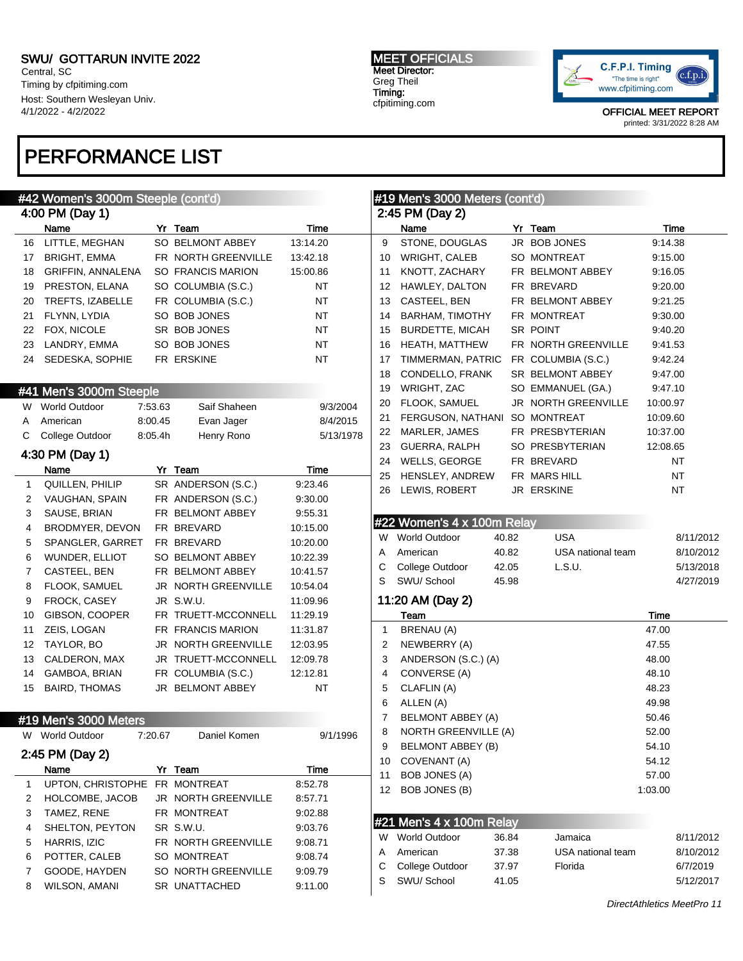Central, SC Timing by cfpitiming.com Host: Southern Wesleyan Univ. 4/1/2022 - 4/2/2022

## PERFORMANCE LIST

#### MEET OFFICIALS Meet Director: Greg Theil Timing: cfpitiming.com



|    | #42 Women's 3000m Steeple (cont'd) |         |                            |             | #19 Men's 3000 Meters (cont'd) |                               |       |                     |           |           |
|----|------------------------------------|---------|----------------------------|-------------|--------------------------------|-------------------------------|-------|---------------------|-----------|-----------|
|    | 4:00 PM (Day 1)                    |         |                            |             |                                | 2:45 PM (Day 2)               |       |                     |           |           |
|    | Name                               |         | Yr Team                    | <b>Time</b> |                                | Name                          |       | Yr Team             | Time      |           |
| 16 | LITTLE, MEGHAN                     |         | SO BELMONT ABBEY           | 13:14.20    | 9                              | STONE, DOUGLAS                |       | JR BOB JONES        | 9:14.38   |           |
| 17 | <b>BRIGHT, EMMA</b>                |         | FR NORTH GREENVILLE        | 13:42.18    | 10                             | WRIGHT, CALEB                 |       | SO MONTREAT         | 9:15.00   |           |
| 18 | GRIFFIN, ANNALENA                  |         | <b>SO FRANCIS MARION</b>   | 15:00.86    | 11                             | KNOTT, ZACHARY                |       | FR BELMONT ABBEY    | 9:16.05   |           |
| 19 | PRESTON, ELANA                     |         | SO COLUMBIA (S.C.)         | NT          | 12                             | HAWLEY, DALTON                |       | FR BREVARD          | 9:20.00   |           |
| 20 | TREFTS, IZABELLE                   |         | FR COLUMBIA (S.C.)         | ΝT          | 13                             | CASTEEL, BEN                  |       | FR BELMONT ABBEY    | 9:21.25   |           |
| 21 | FLYNN, LYDIA                       |         | SO BOB JONES               | ΝT          | 14                             | <b>BARHAM, TIMOTHY</b>        |       | FR MONTREAT         | 9:30.00   |           |
| 22 | FOX, NICOLE                        |         | SR BOB JONES               | ΝT          | 15                             | <b>BURDETTE, MICAH</b>        |       | SR POINT            | 9:40.20   |           |
| 23 | LANDRY, EMMA                       |         | SO BOB JONES               | ΝT          | 16                             | <b>HEATH, MATTHEW</b>         |       | FR NORTH GREENVILLE | 9:41.53   |           |
| 24 | SEDESKA, SOPHIE                    |         | FR ERSKINE                 | <b>NT</b>   | 17                             | TIMMERMAN, PATRIC             |       | FR COLUMBIA (S.C.)  | 9:42.24   |           |
|    |                                    |         |                            |             | 18                             | CONDELLO, FRANK               |       | SR BELMONT ABBEY    | 9:47.00   |           |
|    | #41 Men's 3000m Steeple            |         |                            |             | 19                             | WRIGHT, ZAC                   |       | SO EMMANUEL (GA.)   | 9:47.10   |           |
|    | W World Outdoor                    | 7:53.63 | Saif Shaheen               | 9/3/2004    | 20                             | FLOOK, SAMUEL                 |       | JR NORTH GREENVILLE | 10:00.97  |           |
| A  | American                           | 8:00.45 | Evan Jager                 | 8/4/2015    | 21                             | FERGUSON, NATHANI SO MONTREAT |       |                     | 10:09.60  |           |
| C  | College Outdoor                    | 8:05.4h | Henry Rono                 | 5/13/1978   | 22                             | MARLER, JAMES                 |       | FR PRESBYTERIAN     | 10:37.00  |           |
|    | 4:30 PM (Day 1)                    |         |                            |             | 23                             | <b>GUERRA, RALPH</b>          |       | SO PRESBYTERIAN     | 12:08.65  |           |
|    | Name                               |         | Yr Team                    | Time        | 24                             | WELLS, GEORGE                 |       | FR BREVARD          | NT        |           |
| 1  | QUILLEN, PHILIP                    |         | SR ANDERSON (S.C.)         | 9:23.46     | 25                             | HENSLEY, ANDREW               |       | FR MARS HILL        | <b>NT</b> |           |
| 2  | VAUGHAN, SPAIN                     |         | FR ANDERSON (S.C.)         | 9:30.00     | 26                             | LEWIS, ROBERT                 |       | JR ERSKINE          | NT        |           |
| 3  | SAUSE, BRIAN                       |         | FR BELMONT ABBEY           | 9:55.31     |                                |                               |       |                     |           |           |
| 4  | BRODMYER, DEVON                    |         | FR BREVARD                 | 10:15.00    |                                | #22 Women's 4 x 100m Relay    |       |                     |           |           |
| 5  | SPANGLER, GARRET                   |         | FR BREVARD                 | 10:20.00    | W                              | <b>World Outdoor</b>          | 40.82 | <b>USA</b>          |           | 8/11/2012 |
| 6  | WUNDER, ELLIOT                     |         | SO BELMONT ABBEY           | 10:22.39    | A                              | American                      | 40.82 | USA national team   |           | 8/10/2012 |
| 7  | CASTEEL, BEN                       |         | FR BELMONT ABBEY           | 10:41.57    | С                              | College Outdoor               | 42.05 | L.S.U.              |           | 5/13/2018 |
| 8  | FLOOK, SAMUEL                      |         | <b>JR NORTH GREENVILLE</b> | 10:54.04    | S                              | SWU/ School                   | 45.98 |                     |           | 4/27/2019 |
| 9  | FROCK, CASEY                       |         | JR S.W.U.                  | 11:09.96    |                                | 11:20 AM (Day 2)              |       |                     |           |           |
| 10 | GIBSON, COOPER                     |         | FR TRUETT-MCCONNELL        | 11:29.19    |                                | Team                          |       |                     | Time      |           |
| 11 | ZEIS, LOGAN                        |         | FR FRANCIS MARION          | 11:31.87    | $\mathbf{1}$                   | BRENAU (A)                    |       |                     | 47.00     |           |
| 12 | TAYLOR, BO                         |         | <b>JR NORTH GREENVILLE</b> | 12:03.95    | 2                              | NEWBERRY (A)                  |       |                     | 47.55     |           |
| 13 | CALDERON, MAX                      |         | JR TRUETT-MCCONNELL        | 12:09.78    | 3                              | ANDERSON (S.C.) (A)           |       |                     | 48.00     |           |
| 14 | GAMBOA, BRIAN                      |         | FR COLUMBIA (S.C.)         | 12:12.81    | 4                              | CONVERSE (A)                  |       |                     | 48.10     |           |
| 15 | <b>BAIRD, THOMAS</b>               |         | JR BELMONT ABBEY           | ΝT          | 5                              | CLAFLIN (A)                   |       |                     | 48.23     |           |
|    |                                    |         |                            |             | 6                              | ALLEN (A)                     |       |                     | 49.98     |           |
|    | #19 Men's 3000 Meters              |         |                            |             | 7                              | BELMONT ABBEY (A)             |       |                     | 50.46     |           |
|    | W World Outdoor                    | 7:20.67 | Daniel Komen               | 9/1/1996    | 8                              | <b>NORTH GREENVILLE (A)</b>   |       |                     | 52.00     |           |
|    |                                    |         |                            |             | 9                              | <b>BELMONT ABBEY (B)</b>      |       |                     | 54.10     |           |
|    | 2:45 PM (Day 2)                    |         |                            |             | 10                             | COVENANT (A)                  |       |                     | 54.12     |           |
|    | Name                               |         | Yr Team                    | <b>Time</b> | 11                             | <b>BOB JONES (A)</b>          |       |                     | 57.00     |           |
| 1  | UPTON, CHRISTOPHE                  |         | FR MONTREAT                | 8:52.78     | 12                             | BOB JONES (B)                 |       |                     | 1:03.00   |           |
| 2  | HOLCOMBE, JACOB                    |         | JR NORTH GREENVILLE        | 8:57.71     |                                |                               |       |                     |           |           |
| 3  | TAMEZ, RENE                        |         | FR MONTREAT                | 9:02.88     |                                | #21 Men's 4 x 100m Relay      |       |                     |           |           |
| 4  | SHELTON, PEYTON                    |         | SR S.W.U.                  | 9:03.76     |                                | W World Outdoor               | 36.84 | Jamaica             |           | 8/11/2012 |
| 5  | HARRIS, IZIC                       |         | FR NORTH GREENVILLE        | 9:08.71     | Α                              | American                      | 37.38 | USA national team   |           | 8/10/2012 |
| 6  | POTTER, CALEB                      |         | SO MONTREAT                | 9:08.74     | С                              | College Outdoor               | 37.97 | Florida             |           | 6/7/2019  |
| 7  | GOODE, HAYDEN                      |         | SO NORTH GREENVILLE        | 9:09.79     | S                              | SWU/ School                   | 41.05 |                     |           | 5/12/2017 |
| 8  | <b>WILSON, AMANI</b>               |         | SR UNATTACHED              | 9:11.00     |                                |                               |       |                     |           |           |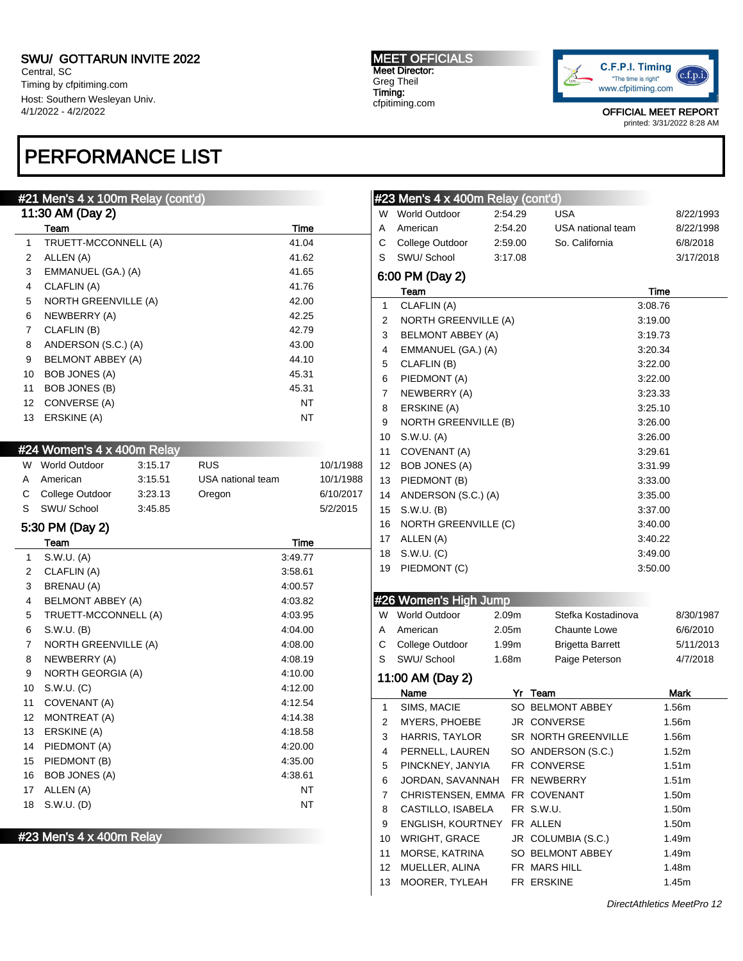Central, SC Timing by cfpitiming.com Host: Southern Wesleyan Univ. 4/1/2022 - 4/2/2022

# PERFORMANCE LIST

### #21 Men's 4 x 100m Relay (cont'd)

| 11:30 AM (Day 2) |                             |       |  |  |  |  |  |  |
|------------------|-----------------------------|-------|--|--|--|--|--|--|
|                  | Team                        | Time  |  |  |  |  |  |  |
| 1                | TRUETT-MCCONNELL (A)        | 41.04 |  |  |  |  |  |  |
| 2                | ALLEN (A)                   | 41.62 |  |  |  |  |  |  |
| 3                | EMMANUEL (GA.) (A)          | 41.65 |  |  |  |  |  |  |
| 4                | CLAFLIN (A)                 | 41.76 |  |  |  |  |  |  |
| 5                | <b>NORTH GREENVILLE (A)</b> | 42.00 |  |  |  |  |  |  |
| 6                | NEWBERRY (A)                | 42.25 |  |  |  |  |  |  |
| 7                | CLAFLIN (B)                 | 42.79 |  |  |  |  |  |  |
| 8                | ANDERSON (S.C.) (A)         | 43.00 |  |  |  |  |  |  |
| 9                | <b>BELMONT ABBEY (A)</b>    | 44.10 |  |  |  |  |  |  |
| 10               | <b>BOB JONES (A)</b>        | 45.31 |  |  |  |  |  |  |
| 11               | <b>BOB JONES (B)</b>        | 45.31 |  |  |  |  |  |  |
| 12               | CONVERSE (A)                | NΤ    |  |  |  |  |  |  |
| 13               | ERSKINE (A)                 | NT    |  |  |  |  |  |  |

#### #24 Women's 4 x 400m Relay

| W. | World Outdoor     | 3:15.17 | <b>RUS</b>        | 10/1/1988 |
|----|-------------------|---------|-------------------|-----------|
|    | A American        | 3:15.51 | USA national team | 10/1/1988 |
|    | C College Outdoor | 3:23.13 | Oregon            | 6/10/2017 |
|    | S SWU/School      | 3:45.85 |                   | 5/2/2015  |

### 5:30 PM (Day 2)

|    | Team                        | Time    |
|----|-----------------------------|---------|
| 1  | S.W.U. (A)                  | 3:49.77 |
| 2  | CLAFLIN (A)                 | 3:58.61 |
| 3  | <b>BRENAU (A)</b>           | 4:00.57 |
| 4  | <b>BELMONT ABBEY (A)</b>    | 4:03.82 |
| 5  | TRUETT-MCCONNELL (A)        | 4:03.95 |
| 6  | S.W.U. (B)                  | 4:04.00 |
| 7  | <b>NORTH GREENVILLE (A)</b> | 4:08.00 |
| 8  | NEWBERRY (A)                | 4:08.19 |
| 9  | NORTH GEORGIA (A)           | 4:10.00 |
| 10 | S.W.U. (C)                  | 4:12.00 |
| 11 | COVENANT (A)                | 4:12.54 |
| 12 | MONTREAT (A)                | 4:14.38 |
| 13 | ERSKINE (A)                 | 4:18.58 |
| 14 | PIEDMONT (A)                | 4:20.00 |
| 15 | PIEDMONT (B)                | 4:35.00 |
| 16 | <b>BOB JONES (A)</b>        | 4:38.61 |
| 17 | ALLEN (A)                   | NΤ      |
| 18 | S.W.U. (D)                  | NΤ      |
|    |                             |         |

#23 Men's 4 x 400m Relay

MEET OFFICIALS Meet Director: Greg Theil Timing: cfpitiming.com



OFFICIAL MEET REPORT

printed: 3/31/2022 8:28 AM

|    | #23 Men's 4 x 400m Relay (cont'd) |         |                         |           |  |  |  |  |
|----|-----------------------------------|---------|-------------------------|-----------|--|--|--|--|
| W  | <b>World Outdoor</b>              | 2:54.29 | USA                     | 8/22/1993 |  |  |  |  |
| A  | American                          | 2:54.20 | USA national team       | 8/22/1998 |  |  |  |  |
| С  | College Outdoor                   | 2:59.00 | So. California          | 6/8/2018  |  |  |  |  |
| S  | SWU/School                        | 3:17.08 |                         | 3/17/2018 |  |  |  |  |
|    | 6:00 PM (Day 2)                   |         |                         |           |  |  |  |  |
|    | Team                              |         |                         | Time      |  |  |  |  |
| 1  | CLAFLIN (A)                       |         |                         | 3:08.76   |  |  |  |  |
| 2  | NORTH GREENVILLE (A)              |         |                         | 3:19.00   |  |  |  |  |
| 3  | BELMONT ABBEY (A)                 |         |                         | 3:19.73   |  |  |  |  |
| 4  | EMMANUEL (GA.) (A)                |         |                         | 3:20.34   |  |  |  |  |
| 5  | CLAFLIN (B)                       |         |                         | 3:22.00   |  |  |  |  |
| 6  | PIEDMONT (A)                      |         |                         | 3:22.00   |  |  |  |  |
| 7  | NEWBERRY (A)<br>3:23.33           |         |                         |           |  |  |  |  |
| 8  | ERSKINE (A)                       |         |                         | 3:25.10   |  |  |  |  |
| 9  | NORTH GREENVILLE (B)              |         |                         | 3:26.00   |  |  |  |  |
| 10 | S.W.U. (A)                        |         |                         | 3:26.00   |  |  |  |  |
| 11 | COVENANT (A)                      |         |                         | 3:29.61   |  |  |  |  |
| 12 | <b>BOB JONES (A)</b>              |         |                         | 3:31.99   |  |  |  |  |
| 13 | PIEDMONT (B)                      |         |                         | 3:33.00   |  |  |  |  |
| 14 | ANDERSON (S.C.) (A)               |         |                         | 3:35.00   |  |  |  |  |
| 15 | S.W.U. (B)                        |         |                         | 3:37.00   |  |  |  |  |
| 16 | NORTH GREENVILLE (C)              |         |                         | 3:40.00   |  |  |  |  |
| 17 | ALLEN (A)                         |         |                         | 3:40.22   |  |  |  |  |
| 18 | S.W.U. (C)                        |         |                         | 3:49.00   |  |  |  |  |
| 19 | PIEDMONT (C)                      |         |                         | 3:50.00   |  |  |  |  |
|    | #26 Women's High Jump             |         |                         |           |  |  |  |  |
|    | W World Outdoor                   | 2.09m   | Stefka Kostadinova      | 8/30/1987 |  |  |  |  |
| A  | American                          | 2.05m   | <b>Chaunte Lowe</b>     | 6/6/2010  |  |  |  |  |
| С  | College Outdoor                   | 1.99m   | <b>Brigetta Barrett</b> | 5/11/2013 |  |  |  |  |
| S  | SWU/School                        | 1.68m   | Paige Peterson          | 4/7/2018  |  |  |  |  |
|    | 11:00 AM (Day 2)                  |         |                         |           |  |  |  |  |
|    | Name                              |         | Yr Team                 | Mark      |  |  |  |  |
| 1  | SIMS, MACIE                       |         | SO BELMONT ABBEY        | 1.56m     |  |  |  |  |
| 2  | MYERS, PHOEBE                     |         | JR CONVERSE             | 1.56m     |  |  |  |  |
| 3  | <b>HARRIS, TAYLOR</b>             |         | SR NORTH GREENVILLE     | 1.56m     |  |  |  |  |
| 4  | PERNELL, LAUREN                   |         | SO ANDERSON (S.C.)      | 1.52m     |  |  |  |  |
| 5  | PINCKNEY, JANYIA                  |         | FR CONVERSE             | 1.51m     |  |  |  |  |
| 6  | JORDAN, SAVANNAH                  |         | FR NEWBERRY             | 1.51m     |  |  |  |  |
| 7  | CHRISTENSEN, EMMA FR COVENANT     |         |                         | 1.50m     |  |  |  |  |
| 8  | CASTILLO, ISABELA                 |         | FR S.W.U.               | 1.50m     |  |  |  |  |
| 9  | <b>ENGLISH, KOURTNEY</b>          |         | FR ALLEN                | 1.50m     |  |  |  |  |
| 10 | <b>WRIGHT, GRACE</b>              |         | JR COLUMBIA (S.C.)      | 1.49m     |  |  |  |  |
| 11 | MORSE, KATRINA                    |         | SO BELMONT ABBEY        | 1.49m     |  |  |  |  |
| 12 | MUELLER, ALINA                    |         | FR MARS HILL            | 1.48m     |  |  |  |  |
| 13 | MOORER, TYLEAH                    |         | FR ERSKINE              | 1.45m     |  |  |  |  |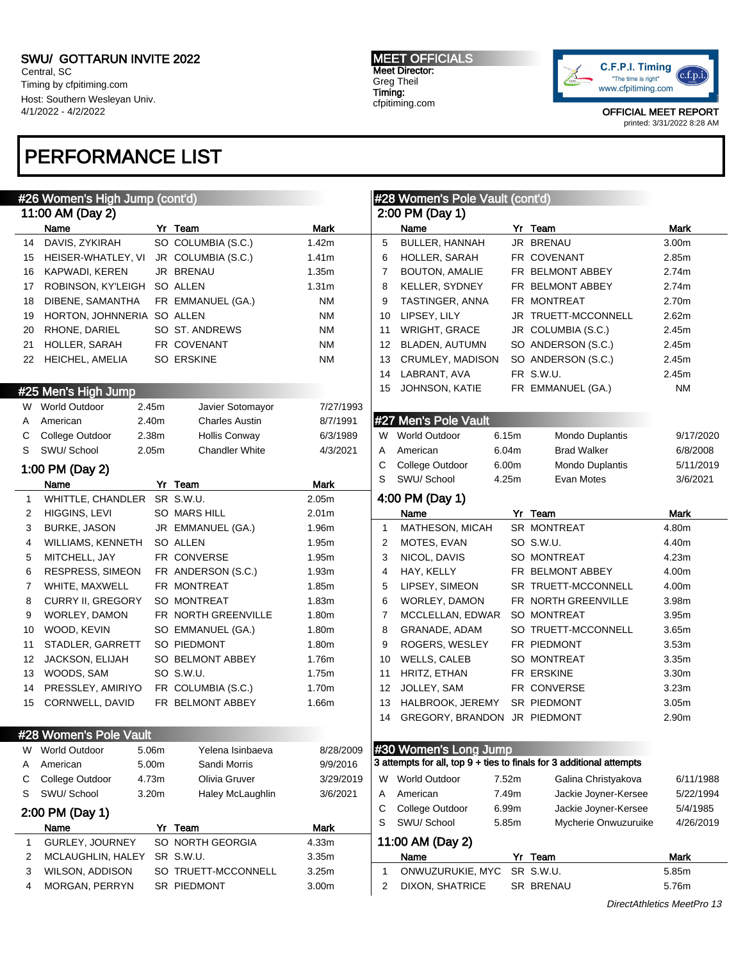Central, SC Timing by cfpitiming.com Host: Southern Wesleyan Univ. 4/1/2022 - 4/2/2022

## PERFORMANCE LIST

#### MEET OFFICIALS Meet Director: Greg Theil Timing: cfpitiming.com



|              | #26 Women's High Jump (cont'd)                 |       |                       |                      |                | #28 Women's Pole Vault (cont'd) |       |                                                                      |                       |
|--------------|------------------------------------------------|-------|-----------------------|----------------------|----------------|---------------------------------|-------|----------------------------------------------------------------------|-----------------------|
|              | 11:00 AM (Day 2)                               |       |                       |                      |                | 2:00 PM (Day 1)                 |       |                                                                      |                       |
|              | Name                                           |       | Yr Team               | <b>Mark</b>          |                | Name                            |       | Yr Team                                                              | <b>Mark</b>           |
| 14           | DAVIS, ZYKIRAH                                 |       | SO COLUMBIA (S.C.)    | 1.42m                | 5              | <b>BULLER, HANNAH</b>           |       | JR BRENAU                                                            | 3.00m                 |
| 15           | HEISER-WHATLEY, VI                             |       | JR COLUMBIA (S.C.)    | 1.41m                | 6              | HOLLER, SARAH                   |       | FR COVENANT                                                          | 2.85m                 |
| 16           | KAPWADI, KEREN                                 |       | JR BRENAU             | 1.35m                | 7              | <b>BOUTON, AMALIE</b>           |       | FR BELMONT ABBEY                                                     | 2.74m                 |
| 17           | ROBINSON, KY'LEIGH SO ALLEN                    |       |                       | 1.31 <sub>m</sub>    | 8              | <b>KELLER, SYDNEY</b>           |       | FR BELMONT ABBEY                                                     | 2.74m                 |
| 18           | DIBENE, SAMANTHA                               |       | FR EMMANUEL (GA.)     | ΝM                   | 9              | TASTINGER, ANNA                 |       | FR MONTREAT                                                          | 2.70m                 |
| 19           | HORTON, JOHNNERIA SO ALLEN                     |       |                       | <b>NM</b>            | 10             | LIPSEY, LILY                    |       | JR TRUETT-MCCONNELL                                                  | 2.62m                 |
| 20           | RHONE, DARIEL                                  |       | SO ST. ANDREWS        | <b>NM</b>            | 11             | <b>WRIGHT, GRACE</b>            |       | JR COLUMBIA (S.C.)                                                   | 2.45m                 |
| 21           | HOLLER, SARAH                                  |       | FR COVENANT           | ΝM                   | 12             | <b>BLADEN, AUTUMN</b>           |       | SO ANDERSON (S.C.)                                                   | 2.45m                 |
| 22           | HEICHEL, AMELIA                                |       | <b>SO ERSKINE</b>     | <b>NM</b>            | 13             | CRUMLEY, MADISON                |       | SO ANDERSON (S.C.)                                                   | 2.45m                 |
|              |                                                |       |                       |                      | 14             | LABRANT, AVA                    |       | FR S.W.U.                                                            | 2.45m                 |
|              | #25 Men's High Jump                            |       |                       |                      | 15             | JOHNSON, KATIE                  |       | FR EMMANUEL (GA.)                                                    | <b>NM</b>             |
|              | W World Outdoor                                | 2.45m | Javier Sotomayor      | 7/27/1993            |                |                                 |       |                                                                      |                       |
| A            | American                                       | 2.40m | <b>Charles Austin</b> | 8/7/1991             |                | #27 Men's Pole Vault            |       |                                                                      |                       |
| С            | College Outdoor                                | 2.38m | <b>Hollis Conway</b>  | 6/3/1989             |                | W World Outdoor                 | 6.15m | Mondo Duplantis                                                      | 9/17/2020             |
| S            | SWU/School                                     | 2.05m | <b>Chandler White</b> | 4/3/2021             | A              | American                        | 6.04m | <b>Brad Walker</b>                                                   | 6/8/2008              |
|              |                                                |       |                       |                      | С              | College Outdoor                 | 6.00m | Mondo Duplantis                                                      | 5/11/2019             |
|              | 1:00 PM (Day 2)                                |       |                       |                      | S              | SWU/ School                     | 4.25m | Evan Motes                                                           | 3/6/2021              |
| $\mathbf{1}$ | Name<br>WHITTLE, CHANDLER SR S.W.U.            |       | Yr Team               | <b>Mark</b><br>2.05m |                | 4:00 PM (Day 1)                 |       |                                                                      |                       |
| 2            | HIGGINS, LEVI                                  |       | SO MARS HILL          | 2.01 <sub>m</sub>    |                | Name                            |       | Yr Team                                                              | Mark                  |
| 3            | BURKE, JASON                                   |       | JR EMMANUEL (GA.)     | 1.96m                | $\overline{1}$ | MATHESON, MICAH                 |       | SR MONTREAT                                                          | 4.80m                 |
| 4            | WILLIAMS, KENNETH                              |       | SO ALLEN              | 1.95m                | 2              | MOTES, EVAN                     |       | SO S.W.U.                                                            | 4.40m                 |
| 5            | MITCHELL, JAY                                  |       | FR CONVERSE           | 1.95m                | 3              | NICOL, DAVIS                    |       | SO MONTREAT                                                          | 4.23m                 |
| 6            | RESPRESS, SIMEON                               |       | FR ANDERSON (S.C.)    |                      | 4              | HAY, KELLY                      |       | FR BELMONT ABBEY                                                     |                       |
| 7            |                                                |       | FR MONTREAT           | 1.93m<br>1.85m       | 5              | LIPSEY, SIMEON                  |       | SR TRUETT-MCCONNELL                                                  | 4.00m                 |
|              | WHITE, MAXWELL<br>CURRY II, GREGORY            |       | SO MONTREAT           | 1.83m                | 6              | WORLEY, DAMON                   |       | FR NORTH GREENVILLE                                                  | 4.00m                 |
| 8            | WORLEY, DAMON                                  |       | FR NORTH GREENVILLE   | 1.80m                | 7              | MCCLELLAN, EDWAR                |       | SO MONTREAT                                                          | 3.98m                 |
| 9            | WOOD, KEVIN                                    |       | SO EMMANUEL (GA.)     |                      | 8              | GRANADE, ADAM                   |       | SO TRUETT-MCCONNELL                                                  | 3.95m                 |
| 10           |                                                |       |                       | 1.80m                |                |                                 |       |                                                                      | 3.65m                 |
| 11           | STADLER, GARRETT                               |       | SO PIEDMONT           | 1.80m                | 9              | ROGERS, WESLEY                  |       | FR PIEDMONT<br>SO MONTREAT                                           | 3.53m                 |
| 12           | JACKSON, ELIJAH                                |       | SO BELMONT ABBEY      | 1.76m                | 10             | WELLS, CALEB                    |       | FR ERSKINE                                                           | 3.35m                 |
| 13           | WOODS, SAM                                     |       | SO S.W.U.             | 1.75m                | 11             | HRITZ, ETHAN                    |       |                                                                      | 3.30m                 |
| 14           | PRESSLEY, AMIRIYO                              |       | FR COLUMBIA (S.C.)    | 1.70m                | 12             | JOLLEY, SAM                     |       | FR CONVERSE                                                          | 3.23m                 |
| 15           | CORNWELL, DAVID                                |       | FR BELMONT ABBEY      | 1.66m                | 13             | HALBROOK, JEREMY                |       | SR PIEDMONT                                                          | 3.05m                 |
|              |                                                |       |                       |                      | 14             | GREGORY, BRANDON JR PIEDMONT    |       |                                                                      | 2.90m                 |
| W            | #28 Women's Pole Vault<br><b>World Outdoor</b> | 5.06m | Yelena Isinbaeva      | 8/28/2009            |                | #30 Women's Long Jump           |       |                                                                      |                       |
| Α            | American                                       | 5.00m | Sandi Morris          | 9/9/2016             |                |                                 |       | 3 attempts for all, top 9 + ties to finals for 3 additional attempts |                       |
|              | College Outdoor                                | 4.73m | Olivia Gruver         | 3/29/2019            |                | W World Outdoor                 | 7.52m | Galina Christyakova                                                  | 6/11/1988             |
| С            | SWU/ School                                    | 3.20m |                       | 3/6/2021             |                |                                 | 7.49m | Jackie Joyner-Kersee                                                 |                       |
| S            |                                                |       | Haley McLaughlin      |                      | A<br>С         | American<br>College Outdoor     | 6.99m | Jackie Joyner-Kersee                                                 | 5/22/1994<br>5/4/1985 |
|              | 2:00 PM (Day 1)                                |       |                       |                      | S              | SWU/ School                     | 5.85m | Mycherie Onwuzuruike                                                 | 4/26/2019             |
|              | Name                                           |       | Yr Team               | Mark                 |                |                                 |       |                                                                      |                       |
| 1            | GURLEY, JOURNEY                                |       | SO NORTH GEORGIA      | 4.33m                |                | 11:00 AM (Day 2)                |       |                                                                      |                       |
| 2            | MCLAUGHLIN, HALEY                              |       | SR S.W.U.             | 3.35m                |                | Name                            |       | Yr Team                                                              | <b>Mark</b>           |
| 3            | WILSON, ADDISON                                |       | SO TRUETT-MCCONNELL   | 3.25m                | 1              | ONWUZURUKIE, MYC                |       | SR S.W.U.                                                            | 5.85m                 |
| 4            | MORGAN, PERRYN                                 |       | SR PIEDMONT           | 3.00m                | 2              | DIXON, SHATRICE                 |       | SR BRENAU                                                            | 5.76m                 |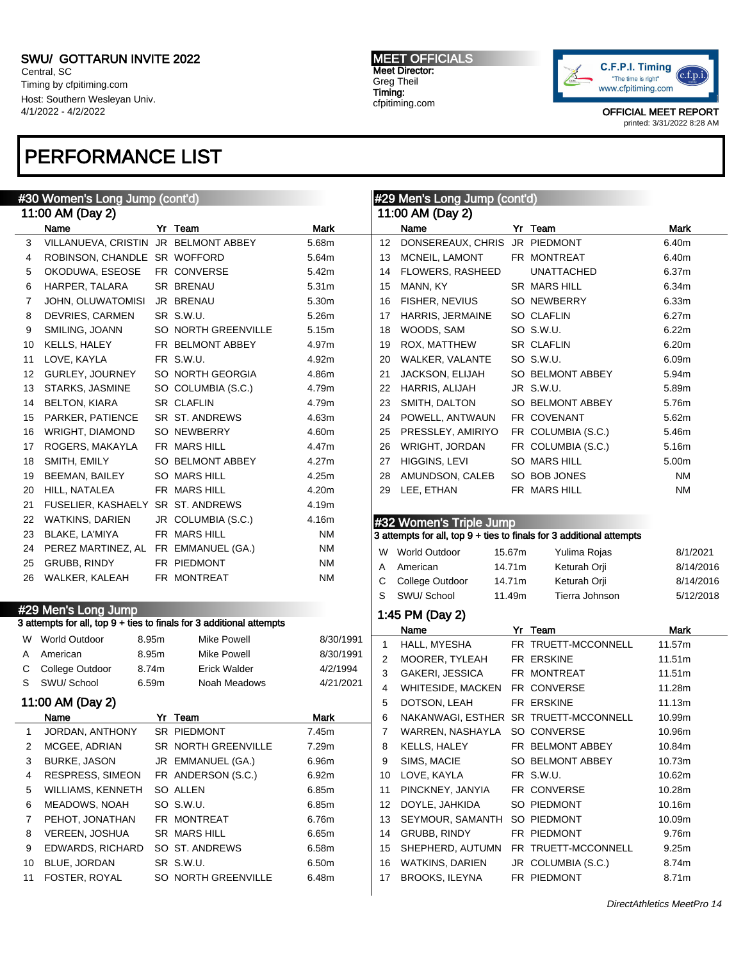Central, SC Timing by cfpitiming.com Host: Southern Wesleyan Univ. 4/1/2022 - 4/2/2022

## PERFORMANCE LIST

#### MEET OFFICIALS Meet Director: Greg Theil Timing: cfpitiming.com



|              | <u>#30 Women's Long</u> Jump (cont'd) |       |                                                                      |                   |              | #29 Men's Long Jump (cont'd)          |        |                                                                      |           |
|--------------|---------------------------------------|-------|----------------------------------------------------------------------|-------------------|--------------|---------------------------------------|--------|----------------------------------------------------------------------|-----------|
|              | 11:00 AM (Day 2)                      |       |                                                                      |                   |              | 11:00 AM (Day 2)                      |        |                                                                      |           |
|              | Name                                  |       | Yr Team                                                              | <b>Mark</b>       |              | Name                                  |        | Yr Team                                                              | Mark      |
| 3            | VILLANUEVA, CRISTIN JR BELMONT ABBEY  |       |                                                                      | 5.68m             | 12           | DONSEREAUX, CHRIS                     |        | JR PIEDMONT                                                          | 6.40m     |
| 4            | ROBINSON, CHANDLE SR WOFFORD          |       |                                                                      | 5.64m             | 13           | MCNEIL, LAMONT                        |        | FR MONTREAT                                                          | 6.40m     |
| 5            | OKODUWA, ESEOSE                       |       | FR CONVERSE                                                          | 5.42m             | 14           | FLOWERS, RASHEED                      |        | <b>UNATTACHED</b>                                                    | 6.37m     |
| 6            | HARPER, TALARA                        |       | <b>SR BRENAU</b>                                                     | 5.31 <sub>m</sub> | 15           | MANN, KY                              |        | SR MARS HILL                                                         | 6.34m     |
| 7            | JOHN, OLUWATOMISI                     |       | JR BRENAU                                                            | 5.30m             | 16           | FISHER, NEVIUS                        |        | SO NEWBERRY                                                          | 6.33m     |
| 8            | DEVRIES, CARMEN                       |       | SR S.W.U.                                                            | 5.26m             | 17           | HARRIS, JERMAINE                      |        | SO CLAFLIN                                                           | 6.27m     |
| 9            | SMILING, JOANN                        |       | SO NORTH GREENVILLE                                                  | 5.15m             | 18           | WOODS, SAM                            |        | SO S.W.U.                                                            | 6.22m     |
| 10           | KELLS, HALEY                          |       | FR BELMONT ABBEY                                                     | 4.97m             | 19           | ROX, MATTHEW                          |        | <b>SR CLAFLIN</b>                                                    | 6.20m     |
| 11           | LOVE, KAYLA                           |       | FR S.W.U.                                                            | 4.92m             | 20           | WALKER, VALANTE                       |        | SO S.W.U.                                                            | 6.09m     |
| 12           | GURLEY, JOURNEY                       |       | SO NORTH GEORGIA                                                     | 4.86m             | 21           | JACKSON, ELIJAH                       |        | SO BELMONT ABBEY                                                     | 5.94m     |
| 13           | STARKS, JASMINE                       |       | SO COLUMBIA (S.C.)                                                   | 4.79m             | 22           | HARRIS, ALIJAH                        |        | JR S.W.U.                                                            | 5.89m     |
| 14           | <b>BELTON, KIARA</b>                  |       | <b>SR CLAFLIN</b>                                                    | 4.79m             | 23           | SMITH, DALTON                         |        | SO BELMONT ABBEY                                                     | 5.76m     |
| 15           | PARKER, PATIENCE                      |       | SR ST. ANDREWS                                                       | 4.63m             | 24           | POWELL, ANTWAUN                       |        | FR COVENANT                                                          | 5.62m     |
| 16           | WRIGHT, DIAMOND                       |       | SO NEWBERRY                                                          | 4.60m             | 25           | PRESSLEY, AMIRIYO                     |        | FR COLUMBIA (S.C.)                                                   | 5.46m     |
| 17           | ROGERS, MAKAYLA                       |       | FR MARS HILL                                                         | 4.47m             | 26           | WRIGHT, JORDAN                        |        | FR COLUMBIA (S.C.)                                                   | 5.16m     |
| 18           | SMITH, EMILY                          |       | SO BELMONT ABBEY                                                     | 4.27m             | 27           | HIGGINS, LEVI                         |        | SO MARS HILL                                                         | 5.00m     |
| 19           | <b>BEEMAN, BAILEY</b>                 |       | <b>SO MARS HILL</b>                                                  | 4.25m             | 28           | AMUNDSON, CALEB                       |        | SO BOB JONES                                                         | ΝM        |
| 20           | HILL, NATALEA                         |       | FR MARS HILL                                                         | 4.20m             | 29           | LEE, ETHAN                            |        | FR MARS HILL                                                         | <b>NM</b> |
| 21           | FUSELIER, KASHAELY SR ST. ANDREWS     |       |                                                                      | 4.19m             |              |                                       |        |                                                                      |           |
| 22           | <b>WATKINS, DARIEN</b>                |       | JR COLUMBIA (S.C.)                                                   | 4.16m             |              | #32 Women's Triple Jump               |        |                                                                      |           |
| 23           | BLAKE, LA'MIYA                        |       | FR MARS HILL                                                         | <b>NM</b>         |              |                                       |        | 3 attempts for all, top 9 + ties to finals for 3 additional attempts |           |
| 24           | PEREZ MARTINEZ, AL FR EMMANUEL (GA.)  |       |                                                                      | <b>NM</b>         |              | W World Outdoor                       | 15.67m | Yulima Rojas                                                         | 8/1/2021  |
| 25           | <b>GRUBB, RINDY</b>                   |       | FR PIEDMONT                                                          | <b>NM</b>         | A            | American                              | 14.71m | Keturah Orji                                                         | 8/14/2016 |
| 26           | WALKER, KALEAH                        |       | FR MONTREAT                                                          | ΝM                | C            | College Outdoor                       | 14.71m | Keturah Orji                                                         | 8/14/2016 |
|              |                                       |       |                                                                      |                   | S            | SWU/ School                           | 11.49m | Tierra Johnson                                                       | 5/12/2018 |
|              | #29 Men's Long Jump                   |       |                                                                      |                   |              |                                       |        |                                                                      |           |
|              |                                       |       | 3 attempts for all, top 9 + ties to finals for 3 additional attempts |                   |              | 1:45 PM (Day 2)                       |        |                                                                      |           |
|              | W World Outdoor                       | 8.95m | <b>Mike Powell</b>                                                   | 8/30/1991         |              | Name                                  |        | Yr Team                                                              | Mark      |
| A            | American                              | 8.95m | Mike Powell                                                          | 8/30/1991         | $\mathbf{1}$ | HALL, MYESHA                          |        | FR TRUETT-MCCONNELL                                                  | 11.57m    |
| С            | College Outdoor                       | 8.74m | <b>Erick Walder</b>                                                  | 4/2/1994          | 2            | MOORER, TYLEAH                        |        | FR ERSKINE                                                           | 11.51m    |
| S            | SWU/ School                           | 6.59m | Noah Meadows                                                         | 4/21/2021         | 3            | <b>GAKERI, JESSICA</b>                |        | FR MONTREAT                                                          | 11.51m    |
|              |                                       |       |                                                                      |                   | 4            | WHITESIDE, MACKEN                     |        | FR CONVERSE                                                          | 11.28m    |
|              | 11:00 AM (Day 2)                      |       |                                                                      |                   | 5            | DOTSON, LEAH                          |        | FR ERSKINE                                                           | 11.13m    |
|              | Name                                  |       | Yr Team                                                              | Mark              | 6            | NAKANWAGI, ESTHER SR TRUETT-MCCONNELL |        |                                                                      | 10.99m    |
| $\mathbf{1}$ | JORDAN, ANTHONY                       |       | SR PIEDMONT                                                          | 7.45m             | 7            | WARREN, NASHAYLA SO CONVERSE          |        |                                                                      | 10.96m    |
| 2            | MCGEE, ADRIAN                         |       | SR NORTH GREENVILLE                                                  | 7.29m             | 8            | KELLS, HALEY                          |        | FR BELMONT ABBEY                                                     | 10.84m    |
| 3            | <b>BURKE, JASON</b>                   |       | JR EMMANUEL (GA.)                                                    | 6.96m             | 9            | SIMS, MACIE                           |        | SO BELMONT ABBEY                                                     | 10.73m    |
| 4            | <b>RESPRESS, SIMEON</b>               |       | FR ANDERSON (S.C.)                                                   | 6.92m             | 10           | LOVE, KAYLA                           |        | FR S.W.U.                                                            | 10.62m    |
| 5            | WILLIAMS, KENNETH                     |       | SO ALLEN                                                             | 6.85m             | 11           | PINCKNEY, JANYIA                      |        | FR CONVERSE                                                          | 10.28m    |
| 6            | MEADOWS, NOAH                         |       | SO S.W.U.                                                            | 6.85m             | 12           | DOYLE, JAHKIDA                        |        | SO PIEDMONT                                                          | 10.16m    |
| 7            | PEHOT, JONATHAN                       |       | FR MONTREAT                                                          | 6.76m             | 13           | SEYMOUR, SAMANTH                      |        | SO PIEDMONT                                                          | 10.09m    |
| 8            | VEREEN, JOSHUA                        |       | SR MARS HILL                                                         | 6.65m             | 14           | GRUBB, RINDY                          |        | FR PIEDMONT                                                          | 9.76m     |
| 9            | EDWARDS, RICHARD                      |       | SO ST. ANDREWS                                                       | 6.58m             | 15           | SHEPHERD, AUTUMN                      |        | FR TRUETT-MCCONNELL                                                  | 9.25m     |
| 10           | BLUE, JORDAN                          |       | SR S.W.U.                                                            | 6.50m             | 16           | WATKINS, DARIEN                       |        | JR COLUMBIA (S.C.)                                                   | 8.74m     |
|              | 11 FOSTER, ROYAL                      |       | SO NORTH GREENVILLE                                                  | 6.48m             | 17           | <b>BROOKS, ILEYNA</b>                 |        | FR PIEDMONT                                                          | 8.71m     |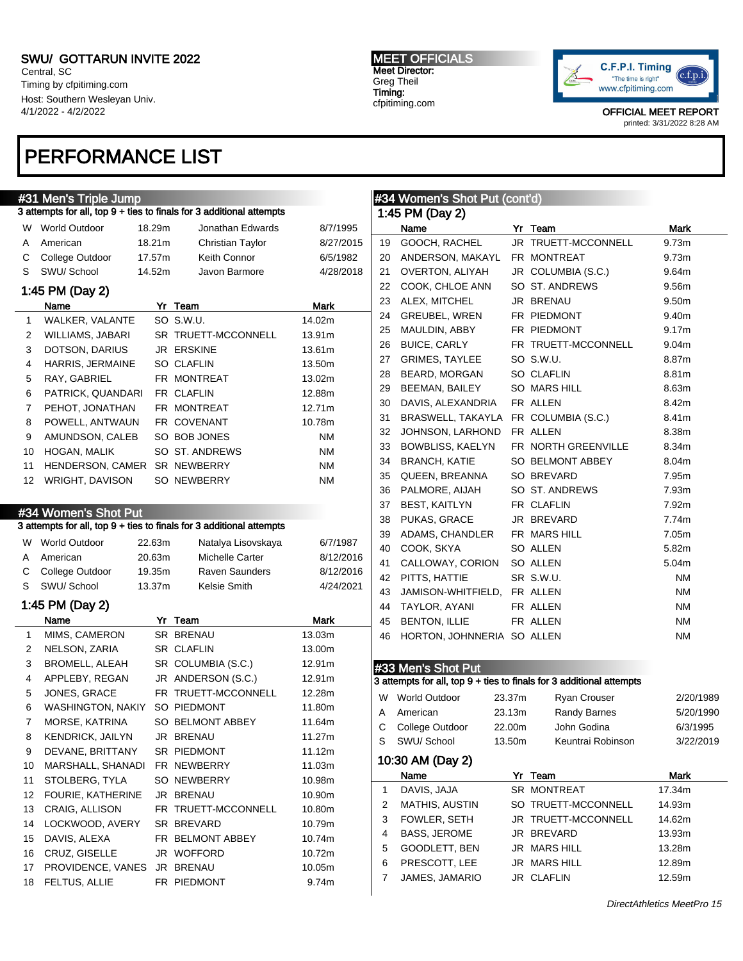Central, SC Timing by cfpitiming.com Host: Southern Wesleyan Univ. 4/1/2022 - 4/2/2022

### PERFORMANCE LIST

#### #31 Men's Triple Jump

| 3 attempts for all, top 9 + ties to finals for 3 additional attempts |  |  |
|----------------------------------------------------------------------|--|--|
|----------------------------------------------------------------------|--|--|

| W  | <b>World Outdoor</b>    | 18.29m | Jonathan Edwards    | 8/7/1995  |
|----|-------------------------|--------|---------------------|-----------|
| A  | American                | 18.21m | Christian Taylor    | 8/27/2015 |
| С  | College Outdoor         | 17.57m | Keith Connor        | 6/5/1982  |
| S  | SWU/School              | 14.52m | Javon Barmore       | 4/28/2018 |
|    | 1:45 PM (Day 2)         |        |                     |           |
|    | Name                    | Yr     | Team                | Mark      |
| 1  | <b>WALKER, VALANTE</b>  |        | SO S.W.U.           | 14.02m    |
| 2  | WILLIAMS, JABARI        |        | SR TRUETT-MCCONNELL | 13.91m    |
| 3  | DOTSON, DARIUS          |        | <b>JR ERSKINE</b>   | 13.61m    |
| 4  | <b>HARRIS, JERMAINE</b> |        | <b>SO CLAFLIN</b>   | 13.50m    |
| 5  | RAY, GABRIEL            |        | FR MONTREAT         | 13.02m    |
| 6  | PATRICK, QUANDARI       |        | FR CLAFLIN          | 12.88m    |
| 7  | PEHOT, JONATHAN         |        | FR MONTREAT         | 12.71m    |
| 8  | POWELL, ANTWAUN         |        | FR COVENANT         | 10.78m    |
| 9  | AMUNDSON, CALEB         |        | SO BOB JONES        | ΝM        |
| 10 | <b>HOGAN, MALIK</b>     |        | SO ST. ANDREWS      | ΝM        |
| 11 | <b>HENDERSON, CAMER</b> |        | <b>SR NEWBERRY</b>  | ΝM        |
| 12 | <b>WRIGHT, DAVISON</b>  |        | <b>SO NEWBERRY</b>  | ΝM        |

#### #34 Women's Shot Put

#### 3 attempts for all, top 9 + ties to finals for 3 additional attempts

| W | <b>World Outdoor</b> | 22.63m | Natalya Lisovskaya     | 6/7/1987  |
|---|----------------------|--------|------------------------|-----------|
| A | American             | 20.63m | <b>Michelle Carter</b> | 8/12/2016 |
|   | C College Outdoor    | 19.35m | <b>Raven Saunders</b>  | 8/12/2016 |
|   | S SWU/School         | 13.37m | Kelsie Smith           | 4/24/2021 |

### 1:45 PM (Day 2)

|    | Name                    | Yr | Team                | Mark   |
|----|-------------------------|----|---------------------|--------|
| 1  | MIMS, CAMERON           |    | <b>SR BRENAU</b>    | 13.03m |
| 2  | NELSON, ZARIA           |    | <b>SR CLAFLIN</b>   | 13.00m |
| 3  | BROMELL, ALEAH          |    | SR COLUMBIA (S.C.)  | 12.91m |
| 4  | APPLEBY, REGAN          |    | JR ANDERSON (S.C.)  | 12.91m |
| 5  | JONES, GRACE            |    | FR TRUETT-MCCONNELL | 12.28m |
| 6  | WASHINGTON, NAKIY       |    | SO PIEDMONT         | 11.80m |
| 7  | MORSE, KATRINA          |    | SO BELMONT ABBEY    | 11.64m |
| 8  | <b>KENDRICK, JAILYN</b> |    | JR BRENAU           | 11.27m |
| 9  | DEVANE, BRITTANY        |    | <b>SR PIEDMONT</b>  | 11.12m |
| 10 | MARSHALL, SHANADI       |    | FR NEWBERRY         | 11.03m |
| 11 | STOLBERG, TYLA          |    | SO NEWBERRY         | 10.98m |
| 12 | FOURIE, KATHERINE       |    | JR BRENAU           | 10.90m |
| 13 | CRAIG, ALLISON          |    | FR TRUETT-MCCONNELL | 10.80m |
| 14 | LOCKWOOD, AVERY         |    | SR BREVARD          | 10.79m |
| 15 | DAVIS, ALEXA            |    | FR BELMONT ABBEY    | 10.74m |
| 16 | CRUZ, GISELLE           |    | JR WOFFORD          | 10.72m |
| 17 | PROVIDENCE, VANES       |    | JR BRENAU           | 10.05m |
| 18 | FELTUS, ALLIE           |    | <b>FR PIEDMONT</b>  | 9.74m  |

#### MEET OFFICIALS Meet Director: Greg Theil Timing: cfpitiming.com

1:45 PM (Day 2)

#34 Women's Shot Put (cont'd)



OFFICIAL MEET REPORT printed: 3/31/2022 8:28 AM

### Name Yr Team Mark 19 GOOCH, RACHEL JR TRUETT-MCCONNELL 9.73m 20 ANDERSON, MAKAYL FR MONTREAT 9.73m 21 OVERTON, ALIYAH JR COLUMBIA (S.C.) 9.64m 22 COOK, CHLOE ANN SO ST. ANDREWS 9.56m 23 ALEX, MITCHEL JR BRENAU 9.50m 24 GREUBEL, WREN FR PIEDMONT 9.40m 25 MAULDIN, ABBY FR PIEDMONT 9.17m 26 BUICE, CARLY FR TRUETT-MCCONNELL 9.04m 27 GRIMES, TAYLEE SO S.W.U. 8.87m 28 BEARD, MORGAN SO CLAFLIN 8.81m 29 BEEMAN, BAILEY SO MARS HILL 8.63m 30 DAVIS, ALEXANDRIA FR ALLEN 8.42m 31 BRASWELL, TAKAYLA FR COLUMBIA (S.C.) 8.41m 32 JOHNSON, LARHOND FR ALLEN 8.38m 33 BOWBLISS, KAELYN FR NORTH GREENVILLE 8.34m 34 BRANCH, KATIE SO BELMONT ABBEY 8.04m 35 QUEEN, BREANNA SO BREVARD 7.95m 36 PALMORE, AIJAH SO ST. ANDREWS 7.93m 37 BEST, KAITLYN FR CLAFLIN 7.92m 38 PUKAS, GRACE JR BREVARD 7.74m 39 ADAMS, CHANDLER FR MARS HILL 7.05m 40 COOK, SKYA SO ALLEN 5.82m 41 CALLOWAY, CORION SO ALLEN 5.04m 42 PITTS, HATTIE SR S.W.U. NM 43 JAMISON-WHITFIELD, FR ALLEN NM 44 TAYLOR, AYANI FR ALLEN NM 45 BENTON, ILLIE FRALLEN NM 46 HORTON, JOHNNERIA SO ALLEN NM #33 Men's Shot Put 3 attempts for all, top 9 + ties to finals for 3 additional attempts W World Outdoor 23.37m Ryan Crouser 2/20/1989 A American 23.13m Randy Barnes 5/20/1990 C College Outdoor 22.00m John Godina 6/3/1995 S SWU/ School 13.50m Keuntrai Robinson 3/22/2019 10:30 AM (Day 2) Name Yr Team Mark

|   | DAVIS, JAJA           | SR MONTREAT         | 17.34m |
|---|-----------------------|---------------------|--------|
| 2 | <b>MATHIS, AUSTIN</b> | SO TRUETT-MCCONNELL | 14.93m |
| 3 | FOWLER, SETH          | JR TRUETT-MCCONNELL | 14.62m |
|   | <b>BASS, JEROME</b>   | JR BREVARD          | 13.93m |
| 5 | GOODLETT, BEN         | JR MARS HILL        | 13.28m |
| 6 | PRESCOTT, LEE         | JR MARS HILL        | 12.89m |
|   | JAMES, JAMARIO        | JR CLAFLIN          | 12.59m |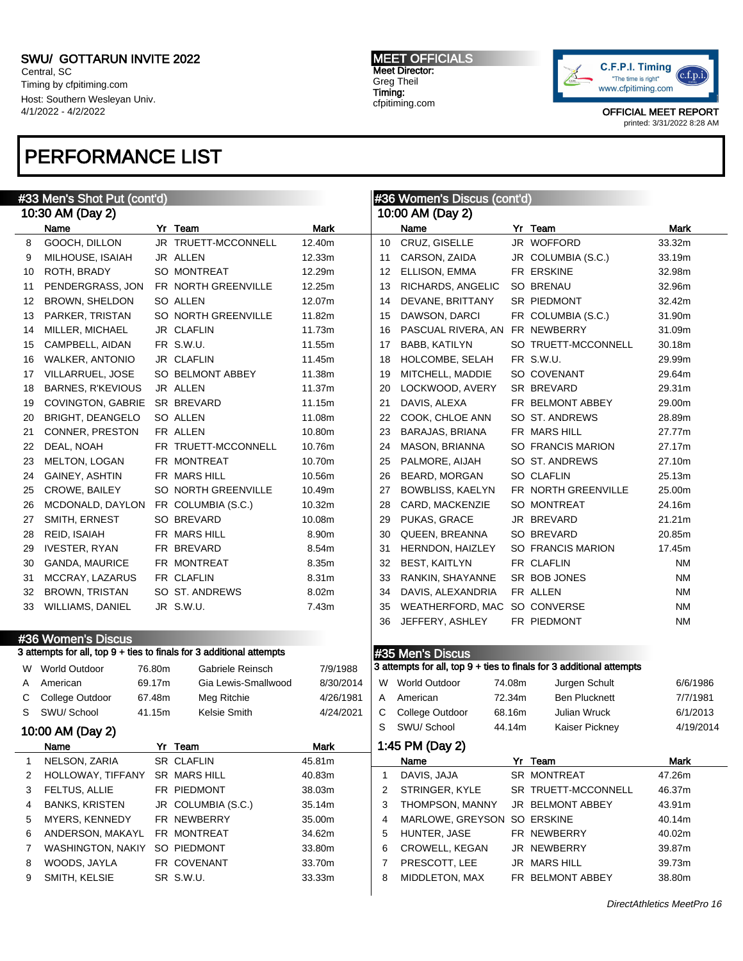Central, SC Timing by cfpitiming.com Host: Southern Wesleyan Univ. 4/1/2022 - 4/2/2022

### PERFORMANCE LIST

#### #33 Men's Shot Put (cont'd) 10:30 AM (Day 2) Name **Yr Team Yr Team** Mark 8 GOOCH, DILLON JR TRUETT-MCCONNELL 12.40m 9 MILHOUSE, ISAIAH JR ALLEN 12.33m 10 ROTH, BRADY SO MONTREAT 12.29m 11 PENDERGRASS, JON FR NORTH GREENVILLE 12.25m 12 BROWN, SHELDON SO ALLEN 12.07m 13 PARKER, TRISTAN SO NORTH GREENVILLE 11.82m 14 MILLER, MICHAEL JR CLAFLIN 11.73m 15 CAMPBELL, AIDAN FR S.W.U. 11.55m 16 WALKER, ANTONIO JR CLAFLIN 11.45m 17 VILLARRUEL, JOSE SO BELMONT ABBEY 11.38m 18 BARNES, R'KEVIOUS JR ALLEN 11.37m 19 COVINGTON, GABRIE SR BREVARD 11.15m 20 BRIGHT, DEANGELO SO ALLEN 11.08m 21 CONNER, PRESTON FR ALLEN 10.80m 22 DEAL, NOAH FR TRUETT-MCCONNELL 10.76m 23 MELTON, LOGAN FR MONTREAT 10.70m 24 GAINEY, ASHTIN FR MARS HILL 10.56m 25 CROWE, BAILEY SO NORTH GREENVILLE 10.49m 26 MCDONALD, DAYLON FR COLUMBIA (S.C.) 10.32m 27 SMITH, ERNEST SO BREVARD 10.08m 28 REID, ISAIAH FR MARS HILL 8.90m 29 IVESTER, RYAN FR BREVARD 8.54m 30 GANDA, MAURICE FR MONTREAT 8.35m 31 MCCRAY, LAZARUS FR CLAFLIN 8.31m 32 BROWN, TRISTAN SO ST. ANDREWS 8.02m 33 WILLIAMS, DANIEL JR S.W.U. 7.43m #36 Women's Discus 3 attempts for all, top 9 + ties to finals for 3 additional attempts W World Outdoor 76.80m Gabriele Reinsch 7/9/1988 A American 69.17m Gia Lewis-Smallwood 8/30/2014 C College Outdoor 67.48m Meg Ritchie 4/26/1981 S SWU/ School 41.15m Kelsie Smith 4/24/2021 10:00 AM (Day 2) Name Yr Team **Mark** 1 NELSON, ZARIA SR CLAFLIN 45.81m 2 HOLLOWAY, TIFFANY SR MARS HILL 40.83m 3 FELTUS, ALLIE FR PIEDMONT 38.03m 4 BANKS, KRISTEN JR COLUMBIA (S.C.) 35.14m 5 MYERS, KENNEDY FR NEWBERRY 35.00m 6 ANDERSON, MAKAYL FR MONTREAT 34.62m 7 WASHINGTON, NAKIY SO PIEDMONT 33.80m 8 WOODS, JAYLA FR COVENANT 33.70m 9 SMITH, KELSIE SR S.W.U. 33.33m #36 Women's Discus (cont'd) 10:00 AM (Day 2) Name Yr Team Mark 10 CRUZ, GISELLE JR WOFFORD 33.32m 11 CARSON, ZAIDA JR COLUMBIA (S.C.) 33.19m 12 ELLISON, EMMA FR ERSKINE 32.98m 13 RICHARDS, ANGELIC SO BRENAU 32.96m 14 DEVANE, BRITTANY SR PIEDMONT 32.42m 15 DAWSON, DARCI FR COLUMBIA (S.C.) 31.90m 16 PASCUAL RIVERA, AN FR NEWBERRY 31.09m 17 BABB, KATILYN SO TRUETT-MCCONNELL 30.18m 18 HOLCOMBE, SELAH FR S.W.U. 29.99m 19 MITCHELL, MADDIE SO COVENANT 29.64m 20 LOCKWOOD, AVERY SR BREVARD 29.31m 21 DAVIS, ALEXA FR BELMONT ABBEY 29.00m 22 COOK, CHLOE ANN SO ST. ANDREWS 28.89m 23 BARAJAS, BRIANA FR MARS HILL 27.77m 24 MASON, BRIANNA SO FRANCIS MARION 27.17m 25 PALMORE, AIJAH SO ST. ANDREWS 27.10m 26 BEARD, MORGAN SO CLAFLIN 25.13m 27 BOWBLISS, KAELYN FR NORTH GREENVILLE 25.00m 28 CARD, MACKENZIE SO MONTREAT 24.16m 29 PUKAS, GRACE JR BREVARD 21.21m 30 QUEEN, BREANNA SO BREVARD 20.85m 31 HERNDON, HAIZLEY SO FRANCIS MARION 17.45m 32 BEST, KAITLYN FR CLAFLIN NM 33 RANKIN, SHAYANNE SR BOB JONES NM 34 DAVIS, ALEXANDRIA FR ALLEN NM 35 WEATHERFORD, MAC SO CONVERSE NM 36 JEFFERY, ASHLEY FR PIEDMONT NM #35 Men's Discus 3 attempts for all, top 9 + ties to finals for 3 additional attempts W World Outdoor 74.08m Jurgen Schult 6/6/1986 A American 72.34m Ben Plucknett 7/7/1981 C College Outdoor 68.16m Julian Wruck 6/1/2013 S SWU/ School 44.14m Kaiser Pickney 4/19/2014 1:45 PM (Day 2) Name Yr Team Mark 1 DAVIS, JAJA SR MONTREAT 47.26m 2 STRINGER, KYLE SR TRUETT-MCCONNELL 46.37m 3 THOMPSON, MANNY JR BELMONT ABBEY 43.91m 4 MARLOWE, GREYSON SO ERSKINE 40.14m 5 HUNTER, JASE FR NEWBERRY 40.02m 6 CROWELL, KEGAN JR NEWBERRY 39.87m 7 PRESCOTT, LEE JR MARS HILL 39.73m 8 MIDDLETON, MAX FR BELMONT ABBEY 38.80m

MEET OFFICIALS Meet Director: Greg Theil Timing: cfpitiming.com



OFFICIAL MEET REPORT printed: 3/31/2022 8:28 AM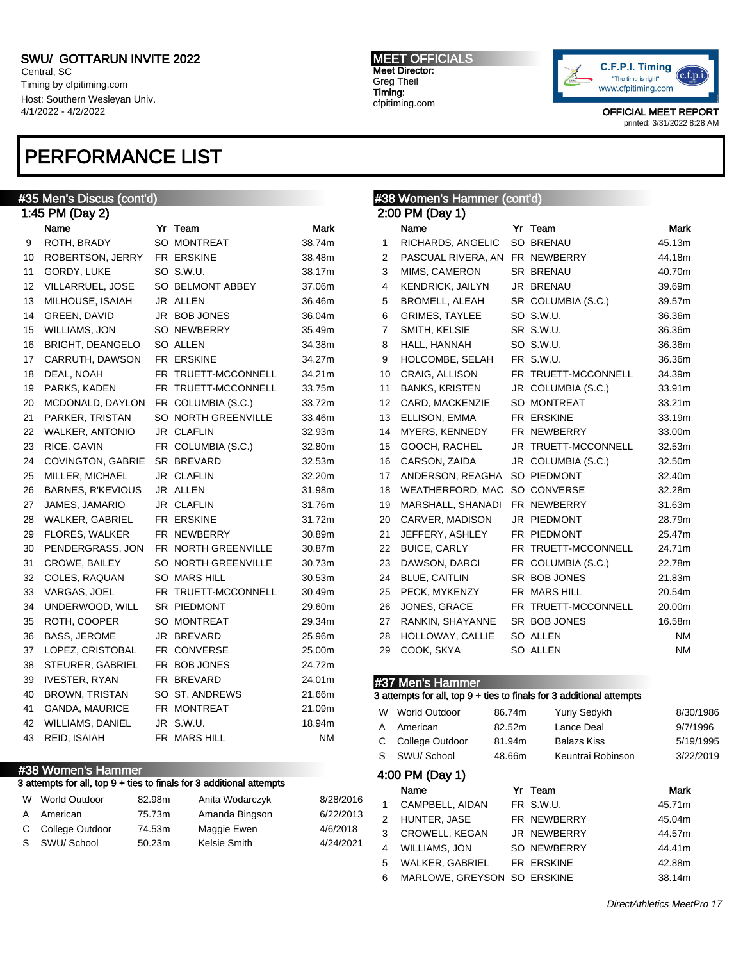Central, SC Timing by cfpitiming.com Host: Southern Wesleyan Univ. 4/1/2022 - 4/2/2022

## PERFORMANCE LIST

#### MEET OFFICIALS Meet Director: Greg Theil Timing: cfpitiming.com



|    | #35 Men's Discus (cont'd) |        |                                                                      |             |              | #38 Women's Hammer (cont'd) |        |                                                                      |                            |
|----|---------------------------|--------|----------------------------------------------------------------------|-------------|--------------|-----------------------------|--------|----------------------------------------------------------------------|----------------------------|
|    | 1:45 PM (Day 2)           |        |                                                                      |             |              | 2:00 PM (Day 1)             |        |                                                                      |                            |
|    | Name                      |        | Yr Team                                                              | <b>Mark</b> |              | Name                        |        | Yr Team                                                              | Mark                       |
| 9  | ROTH, BRADY               |        | SO MONTREAT                                                          | 38.74m      | $\mathbf{1}$ | RICHARDS, ANGELIC           |        | <b>SO BRENAU</b>                                                     | 45.13m                     |
| 10 | ROBERTSON, JERRY          |        | FR ERSKINE                                                           | 38.48m      | 2            | PASCUAL RIVERA, AN          |        | FR NEWBERRY                                                          | 44.18m                     |
| 11 | GORDY, LUKE               |        | SO S.W.U.                                                            | 38.17m      | 3            | MIMS, CAMERON               |        | <b>SR BRENAU</b>                                                     | 40.70m                     |
| 12 | VILLARRUEL, JOSE          |        | SO BELMONT ABBEY                                                     | 37.06m      | 4            | <b>KENDRICK, JAILYN</b>     |        | JR BRENAU                                                            | 39.69m                     |
| 13 | MILHOUSE, ISAIAH          |        | JR ALLEN                                                             | 36.46m      | 5            | BROMELL, ALEAH              |        | SR COLUMBIA (S.C.)                                                   | 39.57m                     |
| 14 | GREEN, DAVID              |        | JR BOB JONES                                                         | 36.04m      | 6            | <b>GRIMES, TAYLEE</b>       |        | SO S.W.U.                                                            | 36.36m                     |
| 15 | <b>WILLIAMS, JON</b>      |        | <b>SO NEWBERRY</b>                                                   | 35.49m      | 7            | SMITH, KELSIE               |        | SR S.W.U.                                                            | 36.36m                     |
| 16 | <b>BRIGHT, DEANGELO</b>   |        | SO ALLEN                                                             | 34.38m      | 8            | HALL, HANNAH                |        | SO S.W.U.                                                            | 36.36m                     |
| 17 | CARRUTH, DAWSON           |        | FR ERSKINE                                                           | 34.27m      | 9            | HOLCOMBE, SELAH             |        | FR S.W.U.                                                            | 36.36m                     |
| 18 | DEAL, NOAH                |        | FR TRUETT-MCCONNELL                                                  | 34.21m      | 10           | CRAIG, ALLISON              |        | FR TRUETT-MCCONNELL                                                  | 34.39m                     |
| 19 | PARKS, KADEN              |        | FR TRUETT-MCCONNELL                                                  | 33.75m      | 11           | <b>BANKS, KRISTEN</b>       |        | JR COLUMBIA (S.C.)                                                   | 33.91m                     |
| 20 | MCDONALD, DAYLON          |        | FR COLUMBIA (S.C.)                                                   | 33.72m      | 12           | CARD, MACKENZIE             |        | SO MONTREAT                                                          | 33.21m                     |
| 21 | PARKER, TRISTAN           |        | SO NORTH GREENVILLE                                                  | 33.46m      | 13           | ELLISON, EMMA               |        | FR ERSKINE                                                           | 33.19m                     |
| 22 | <b>WALKER, ANTONIO</b>    |        | JR CLAFLIN                                                           | 32.93m      | 14           | MYERS, KENNEDY              |        | FR NEWBERRY                                                          | 33.00m                     |
| 23 | RICE, GAVIN               |        | FR COLUMBIA (S.C.)                                                   | 32.80m      | 15           | GOOCH, RACHEL               |        | JR TRUETT-MCCONNELL                                                  | 32.53m                     |
| 24 | COVINGTON, GABRIE         |        | <b>SR BREVARD</b>                                                    | 32.53m      | 16           | CARSON, ZAIDA               |        | JR COLUMBIA (S.C.)                                                   | 32.50m                     |
| 25 | MILLER, MICHAEL           |        | JR CLAFLIN                                                           | 32.20m      | 17           | ANDERSON, REAGHA            |        | SO PIEDMONT                                                          | 32.40m                     |
| 26 | <b>BARNES, R'KEVIOUS</b>  |        | JR ALLEN                                                             | 31.98m      | 18           | WEATHERFORD, MAC            |        | SO CONVERSE                                                          | 32.28m                     |
| 27 | JAMES, JAMARIO            |        | JR CLAFLIN                                                           | 31.76m      | 19           | MARSHALL, SHANADI           |        | FR NEWBERRY                                                          | 31.63m                     |
| 28 | WALKER, GABRIEL           |        | FR ERSKINE                                                           | 31.72m      | 20           | CARVER, MADISON             |        | JR PIEDMONT                                                          | 28.79m                     |
| 29 | FLORES, WALKER            |        | FR NEWBERRY                                                          | 30.89m      | 21           | JEFFERY, ASHLEY             |        | FR PIEDMONT                                                          | 25.47m                     |
| 30 | PENDERGRASS, JON          |        | FR NORTH GREENVILLE                                                  | 30.87m      | 22           | <b>BUICE, CARLY</b>         |        | FR TRUETT-MCCONNELL                                                  | 24.71m                     |
| 31 | CROWE, BAILEY             |        | SO NORTH GREENVILLE                                                  | 30.73m      | 23           | DAWSON, DARCI               |        | FR COLUMBIA (S.C.)                                                   | 22.78m                     |
| 32 | COLES, RAQUAN             |        | <b>SO MARS HILL</b>                                                  | 30.53m      | 24           | <b>BLUE, CAITLIN</b>        |        | SR BOB JONES                                                         | 21.83m                     |
| 33 | VARGAS, JOEL              |        | FR TRUETT-MCCONNELL                                                  | 30.49m      | 25           | PECK, MYKENZY               |        | FR MARS HILL                                                         | 20.54m                     |
| 34 | UNDERWOOD, WILL           |        | SR PIEDMONT                                                          | 29.60m      | 26           | JONES, GRACE                |        | FR TRUETT-MCCONNELL                                                  | 20.00m                     |
| 35 | ROTH, COOPER              |        | <b>SO MONTREAT</b>                                                   | 29.34m      | 27           | RANKIN, SHAYANNE            |        | SR BOB JONES                                                         | 16.58m                     |
| 36 | <b>BASS, JEROME</b>       |        | JR BREVARD                                                           | 25.96m      | 28           | HOLLOWAY, CALLIE            |        | SO ALLEN                                                             | NM                         |
| 37 | LOPEZ, CRISTOBAL          |        | FR CONVERSE                                                          | 25.00m      | 29           | COOK, SKYA                  |        | SO ALLEN                                                             | NM                         |
| 38 | STEURER, GABRIEL          |        | FR BOB JONES                                                         | 24.72m      |              |                             |        |                                                                      |                            |
| 39 | <b>IVESTER, RYAN</b>      |        | FR BREVARD                                                           | 24.01m      |              | #37 Men's Hammer            |        |                                                                      |                            |
| 40 | <b>BROWN, TRISTAN</b>     |        | SO ST. ANDREWS                                                       | 21.66m      |              |                             |        | 3 attempts for all, top 9 + ties to finals for 3 additional attempts |                            |
| 41 | GANDA, MAURICE            |        | FR MONTREAT                                                          | 21.09m      |              | W World Outdoor             | 86.74m | <b>Yuriy Sedykh</b>                                                  | 8/30/1986                  |
| 42 | WILLIAMS, DANIEL          |        | JR S.W.U.                                                            | 18.94m      |              | A American                  | 82.52m | Lance Deal                                                           | 9/7/1996                   |
| 43 | REID, ISAIAH              |        | FR MARS HILL                                                         | <b>NM</b>   | С            | College Outdoor             | 81.94m | Balazs Kiss                                                          | 5/19/1995                  |
|    |                           |        |                                                                      |             | S            | SWU/ School                 | 48.66m | Keuntrai Robinson                                                    | 3/22/2019                  |
|    | #38 Women's Hammer        |        |                                                                      |             |              |                             |        |                                                                      |                            |
|    |                           |        | 3 attempts for all, top 9 + ties to finals for 3 additional attempts |             |              | 4:00 PM (Day 1)             |        |                                                                      |                            |
| W. | <b>World Outdoor</b>      | 82.98m | Anita Wodarczyk                                                      | 8/28/2016   |              | Name                        |        | Yr Team                                                              | Mark                       |
| A  | American                  | 75.73m | Amanda Bingson                                                       | 6/22/2013   | $\mathbf{1}$ | CAMPBELL, AIDAN             |        | FR S.W.U.                                                            | 45.71m                     |
| С  | College Outdoor           | 74.53m | Maggie Ewen                                                          | 4/6/2018    | 2            | HUNTER, JASE                |        | FR NEWBERRY                                                          | 45.04m                     |
| S  | SWU/ School               | 50.23m | Kelsie Smith                                                         | 4/24/2021   | 3            | CROWELL, KEGAN              |        | JR NEWBERRY                                                          | 44.57m                     |
|    |                           |        |                                                                      |             | 4            | WILLIAMS, JON               |        | SO NEWBERRY                                                          | 44.41m                     |
|    |                           |        |                                                                      |             | 5            | WALKER, GABRIEL             |        | FR ERSKINE                                                           | 42.88m                     |
|    |                           |        |                                                                      |             | 6            | MARLOWE, GREYSON SO ERSKINE |        |                                                                      | 38.14m                     |
|    |                           |        |                                                                      |             |              |                             |        |                                                                      | DirectAthletics MeetPro 17 |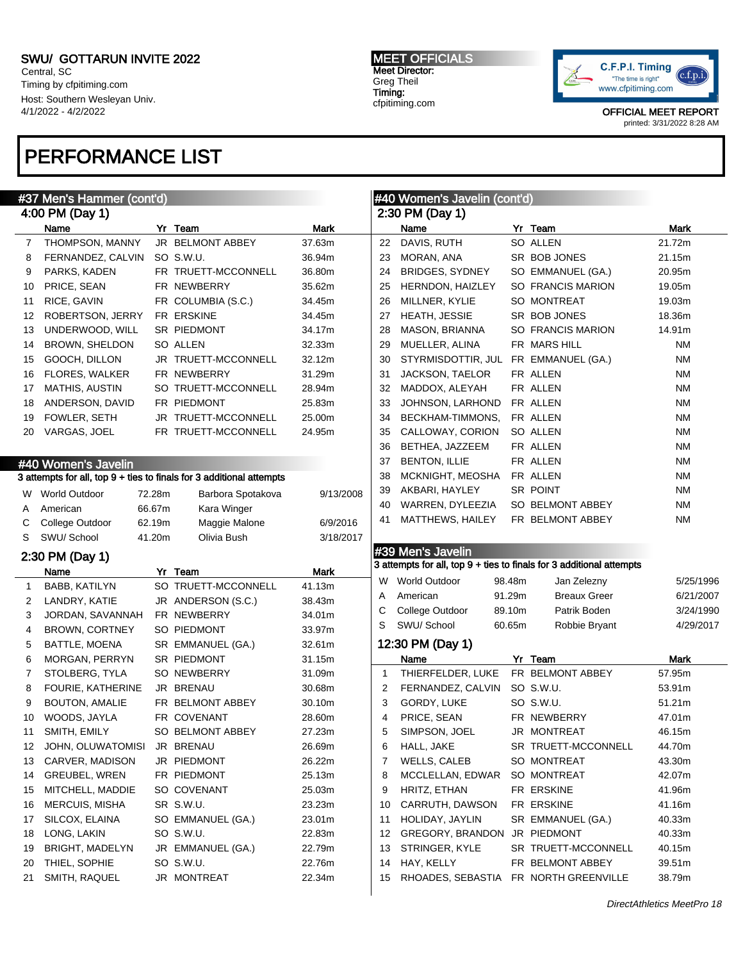Central, SC Timing by cfpitiming.com Host: Southern Wesleyan Univ. 4/1/2022 - 4/2/2022

## PERFORMANCE LIST

#### MEET OFFICIALS Meet Director: Greg Theil Timing: cfpitiming.com



| #37 Men's Hammer (cont'd) |                                         |        |                                                                      |                  | #40 Women's Javelin (cont'd) |                              |        |                                                                      |                  |
|---------------------------|-----------------------------------------|--------|----------------------------------------------------------------------|------------------|------------------------------|------------------------------|--------|----------------------------------------------------------------------|------------------|
|                           | 4:00 PM (Day 1)                         |        |                                                                      |                  |                              | 2:30 PM (Day 1)              |        |                                                                      |                  |
|                           | Name                                    |        | Yr Team                                                              | Mark             |                              | Name                         |        | Yr Team                                                              | Mark             |
| 7                         | THOMPSON, MANNY                         |        | JR BELMONT ABBEY                                                     | 37.63m           | 22                           | DAVIS, RUTH                  |        | SO ALLEN                                                             | 21.72m           |
| 8                         | FERNANDEZ, CALVIN                       |        | SO S.W.U.                                                            | 36.94m           | 23                           | MORAN, ANA                   |        | SR BOB JONES                                                         | 21.15m           |
| 9                         | PARKS, KADEN                            |        | FR TRUETT-MCCONNELL                                                  | 36.80m           | 24                           | BRIDGES, SYDNEY              |        | SO EMMANUEL (GA.)                                                    | 20.95m           |
| 10                        | PRICE, SEAN                             |        | FR NEWBERRY                                                          | 35.62m           | 25                           | HERNDON, HAIZLEY             |        | SO FRANCIS MARION                                                    | 19.05m           |
| 11                        | RICE, GAVIN                             |        | FR COLUMBIA (S.C.)                                                   | 34.45m           | 26                           | MILLNER, KYLIE               |        | SO MONTREAT                                                          | 19.03m           |
| 12                        | ROBERTSON, JERRY                        |        | FR ERSKINE                                                           | 34.45m           | 27                           | HEATH, JESSIE                |        | SR BOB JONES                                                         | 18.36m           |
| 13                        | UNDERWOOD, WILL                         |        | SR PIEDMONT                                                          | 34.17m           | 28                           | MASON, BRIANNA               |        | SO FRANCIS MARION                                                    | 14.91m           |
| 14                        | <b>BROWN, SHELDON</b>                   |        | SO ALLEN                                                             | 32.33m           | 29                           | MUELLER, ALINA               |        | FR MARS HILL                                                         | ΝM               |
| 15                        | GOOCH, DILLON                           |        | JR TRUETT-MCCONNELL                                                  | 32.12m           | 30                           | STYRMISDOTTIR, JUL           |        | FR EMMANUEL (GA.)                                                    | ΝM               |
| 16                        | <b>FLORES, WALKER</b>                   |        | FR NEWBERRY                                                          | 31.29m           | 31                           | JACKSON, TAELOR              |        | FR ALLEN                                                             | ΝM               |
| 17                        | MATHIS, AUSTIN                          |        | SO TRUETT-MCCONNELL                                                  | 28.94m           | 32                           | MADDOX, ALEYAH               |        | FR ALLEN                                                             | ΝM               |
| 18                        | ANDERSON, DAVID                         |        | FR PIEDMONT                                                          | 25.83m           | 33                           | JOHNSON, LARHOND             |        | FR ALLEN                                                             | ΝM               |
| 19                        | FOWLER, SETH                            |        | JR TRUETT-MCCONNELL                                                  | 25.00m           | 34                           | BECKHAM-TIMMONS,             |        | FR ALLEN                                                             | ΝM               |
| 20                        | VARGAS, JOEL                            |        | FR TRUETT-MCCONNELL                                                  | 24.95m           | 35                           | CALLOWAY, CORION             |        | SO ALLEN                                                             | ΝM               |
|                           |                                         |        |                                                                      |                  | 36                           | BETHEA, JAZZEEM              |        | FR ALLEN                                                             | ΝM               |
|                           | #40 Women's Javelin                     |        |                                                                      |                  | 37                           | <b>BENTON, ILLIE</b>         |        | FR ALLEN                                                             | ΝM               |
|                           |                                         |        | 3 attempts for all, top 9 + ties to finals for 3 additional attempts |                  | 38                           | MCKNIGHT, MEOSHA             |        | FR ALLEN                                                             | ΝM               |
|                           | W World Outdoor                         | 72.28m | Barbora Spotakova                                                    | 9/13/2008        | 39                           | AKBARI, HAYLEY               |        | SR POINT                                                             | ΝM               |
| A                         | American                                | 66.67m | Kara Winger                                                          |                  | 40                           | WARREN, DYLEEZIA             |        | SO BELMONT ABBEY                                                     | ΝM               |
| С                         | College Outdoor                         | 62.19m | Maggie Malone                                                        | 6/9/2016         | 41                           | MATTHEWS, HAILEY             |        | FR BELMONT ABBEY                                                     | ΝM               |
| S                         | SWU/ School                             | 41.20m | Olivia Bush                                                          | 3/18/2017        |                              |                              |        |                                                                      |                  |
|                           |                                         |        |                                                                      |                  |                              | #39 Men's Javelin            |        |                                                                      |                  |
|                           | 2:30 PM (Day 1)<br>Name                 |        | Yr Team                                                              | Mark             |                              |                              |        | 3 attempts for all, top 9 + ties to finals for 3 additional attempts |                  |
| $\mathbf 1$               | <b>BABB, KATILYN</b>                    |        | SO TRUETT-MCCONNELL                                                  | 41.13m           | W                            | World Outdoor                | 98.48m | Jan Zelezny                                                          | 5/25/1996        |
|                           | LANDRY, KATIE                           |        | JR ANDERSON (S.C.)                                                   | 38.43m           | Α                            | American                     | 91.29m | <b>Breaux Greer</b>                                                  | 6/21/2007        |
| 2<br>3                    | JORDAN, SAVANNAH                        |        | FR NEWBERRY                                                          | 34.01m           | С                            | College Outdoor              | 89.10m | Patrik Boden                                                         | 3/24/1990        |
| 4                         | <b>BROWN, CORTNEY</b>                   |        | SO PIEDMONT                                                          | 33.97m           | S                            | SWU/ School                  | 60.65m | Robbie Bryant                                                        | 4/29/2017        |
|                           | BATTLE, MOENA                           |        | SR EMMANUEL (GA.)                                                    | 32.61m           |                              | 12:30 PM (Day 1)             |        |                                                                      |                  |
| 5                         | <b>MORGAN, PERRYN</b>                   |        | SR PIEDMONT                                                          | 31.15m           |                              | Name                         |        | Yr Team                                                              | Mark             |
| 6<br>7                    |                                         |        |                                                                      |                  |                              |                              |        |                                                                      |                  |
|                           |                                         |        |                                                                      |                  |                              |                              |        |                                                                      |                  |
|                           | STOLBERG, TYLA                          |        | SO NEWBERRY                                                          | 31.09m           | $\mathbf{1}$                 | THIERFELDER, LUKE            |        | FR BELMONT ABBEY                                                     | 57.95m           |
| 8                         | FOURIE, KATHERINE                       |        | JR BRENAU                                                            | 30.68m           | 2                            | FERNANDEZ, CALVIN            |        | SO S.W.U.                                                            | 53.91m           |
| 9                         | <b>BOUTON, AMALIE</b>                   |        | FR BELMONT ABBEY                                                     | 30.10m           | 3                            | GORDY, LUKE                  |        | SO S.W.U.                                                            | 51.21m           |
| 10                        | WOODS, JAYLA                            |        | FR COVENANT                                                          | 28.60m           | 4                            | PRICE, SEAN                  |        | FR NEWBERRY                                                          | 47.01m           |
| 11                        | SMITH, EMILY                            |        | SO BELMONT ABBEY                                                     | 27.23m           | 5                            | SIMPSON, JOEL                |        | JR MONTREAT                                                          | 46.15m           |
| 12                        | JOHN, OLUWATOMISI                       |        | JR BRENAU                                                            | 26.69m           | 6                            | HALL, JAKE                   |        | SR TRUETT-MCCONNELL                                                  | 44.70m           |
| 13                        | CARVER, MADISON                         |        | JR PIEDMONT                                                          | 26.22m           | 7                            | WELLS, CALEB                 |        | SO MONTREAT                                                          | 43.30m           |
| 14                        | <b>GREUBEL, WREN</b>                    |        | FR PIEDMONT                                                          | 25.13m           | 8                            | MCCLELLAN, EDWAR             |        | SO MONTREAT                                                          | 42.07m           |
| 15                        | MITCHELL, MADDIE                        |        | SO COVENANT                                                          | 25.03m           | 9                            | HRITZ, ETHAN                 |        | FR ERSKINE                                                           | 41.96m           |
| 16                        | <b>MERCUIS, MISHA</b>                   |        | SR S.W.U.                                                            | 23.23m           | 10                           | CARRUTH, DAWSON              |        | FR ERSKINE                                                           | 41.16m           |
| 17                        | SILCOX, ELAINA                          |        | SO EMMANUEL (GA.)                                                    | 23.01m           | 11                           | HOLIDAY, JAYLIN              |        | SR EMMANUEL (GA.)                                                    | 40.33m           |
| 18                        | LONG, LAKIN                             |        | SO S.W.U.                                                            | 22.83m           | 12                           | GREGORY, BRANDON             |        | JR PIEDMONT                                                          | 40.33m           |
| 19<br>20                  | <b>BRIGHT, MADELYN</b><br>THIEL, SOPHIE |        | JR EMMANUEL (GA.)<br>SO S.W.U.                                       | 22.79m<br>22.76m | 13<br>14                     | STRINGER, KYLE<br>HAY, KELLY |        | SR TRUETT-MCCONNELL<br>FR BELMONT ABBEY                              | 40.15m<br>39.51m |